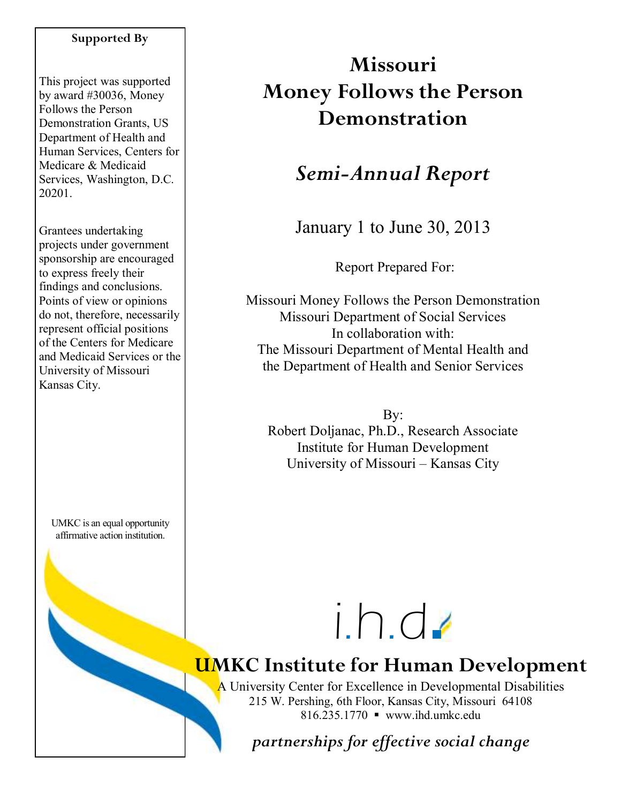#### **Supported By**

This project was supported by award #30036, Money Follows the Person Demonstration Grants, US Department of Health and Human Services, Centers for Medicare & Medicaid Services, Washington, D.C. 20201.

Grantees undertaking projects under government sponsorship are encouraged to express freely their findings and conclusions. Points of view or opinions do not, therefore, necessarily represent official positions of the Centers for Medicare and Medicaid Services or the University of Missouri Kansas City.

UMKC is an equal opportunity affirmative action institution.

# **Missouri Money Follows the Person Demonstration**

## *Semi-Annual Report*

January 1 to June 30, 2013

Report Prepared For:

Missouri Money Follows the Person Demonstration Missouri Department of Social Services In collaboration with: The Missouri Department of Mental Health and the Department of Health and Senior Services

By: Robert Doljanac, Ph.D., Research Associate Institute for Human Development University of Missouri – Kansas City

# i.h.d

# **UMKC Institute for Human Development**

A University Center for Excellence in Developmental Disabilities 215 W. Pershing, 6th Floor, Kansas City, Missouri 64108 816.235.1770 www.ihd.umkc.edu

*partnerships for effective social change*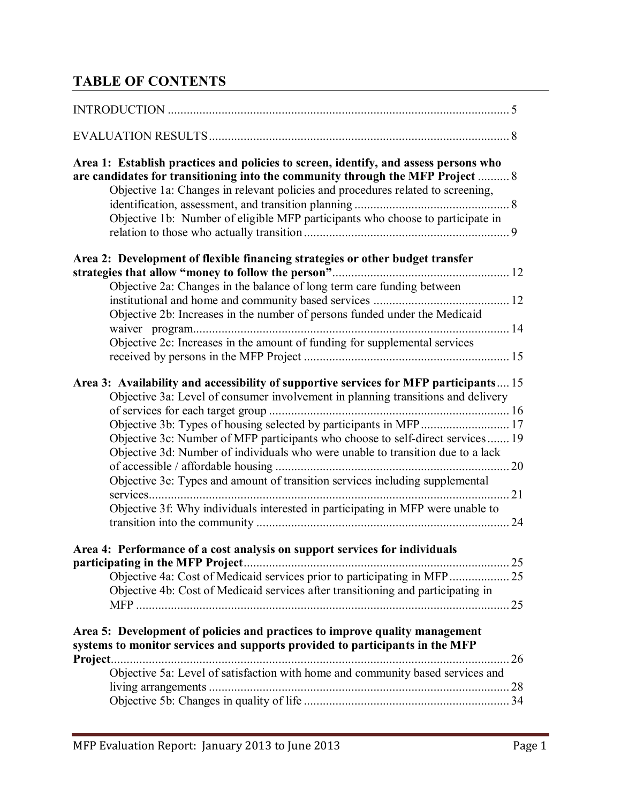## **TABLE OF CONTENTS**

| Area 1: Establish practices and policies to screen, identify, and assess persons who<br>are candidates for transitioning into the community through the MFP Project  8    |    |
|---------------------------------------------------------------------------------------------------------------------------------------------------------------------------|----|
| Objective 1a: Changes in relevant policies and procedures related to screening,                                                                                           |    |
| Objective 1b: Number of eligible MFP participants who choose to participate in                                                                                            |    |
| Area 2: Development of flexible financing strategies or other budget transfer                                                                                             |    |
| Objective 2a: Changes in the balance of long term care funding between                                                                                                    |    |
|                                                                                                                                                                           |    |
| Objective 2b: Increases in the number of persons funded under the Medicaid                                                                                                |    |
| Objective 2c: Increases in the amount of funding for supplemental services                                                                                                |    |
| Area 3: Availability and accessibility of supportive services for MFP participants 15<br>Objective 3a: Level of consumer involvement in planning transitions and delivery |    |
|                                                                                                                                                                           |    |
| Objective 3b: Types of housing selected by participants in MFP 17<br>Objective 3c: Number of MFP participants who choose to self-direct services 19                       |    |
| Objective 3d: Number of individuals who were unable to transition due to a lack                                                                                           |    |
| Objective 3e: Types and amount of transition services including supplemental<br>services                                                                                  |    |
| Objective 3f: Why individuals interested in participating in MFP were unable to                                                                                           |    |
|                                                                                                                                                                           |    |
| Area 4: Performance of a cost analysis on support services for individuals<br>participating in the MFP Project.                                                           |    |
| Objective 4a: Cost of Medicaid services prior to participating in MFP 25                                                                                                  |    |
| Objective 4b: Cost of Medicaid services after transitioning and participating in                                                                                          | 25 |
| Area 5: Development of policies and practices to improve quality management                                                                                               |    |
| systems to monitor services and supports provided to participants in the MFP<br>Project.                                                                                  |    |
| Objective 5a: Level of satisfaction with home and community based services and                                                                                            |    |
|                                                                                                                                                                           |    |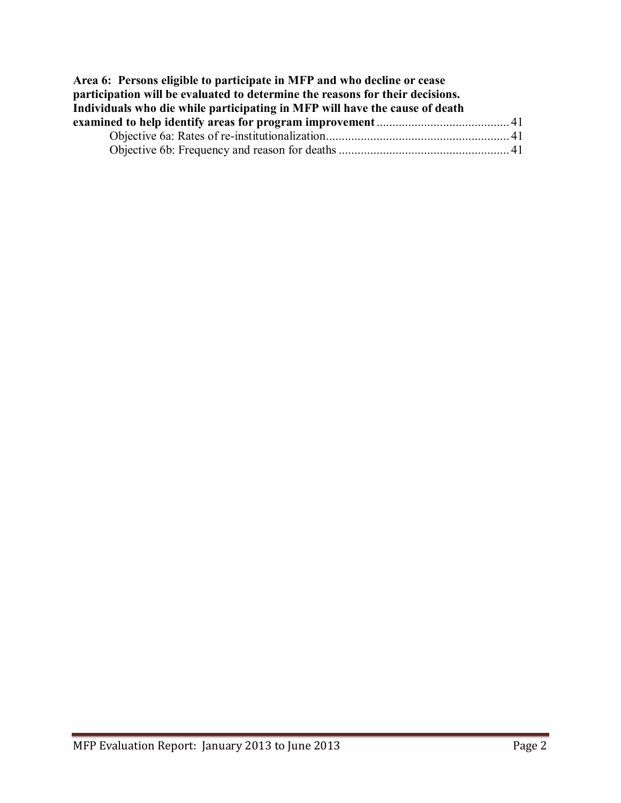| Area 6: Persons eligible to participate in MFP and who decline or cease       |  |
|-------------------------------------------------------------------------------|--|
| participation will be evaluated to determine the reasons for their decisions. |  |
| Individuals who die while participating in MFP will have the cause of death   |  |
|                                                                               |  |
|                                                                               |  |
|                                                                               |  |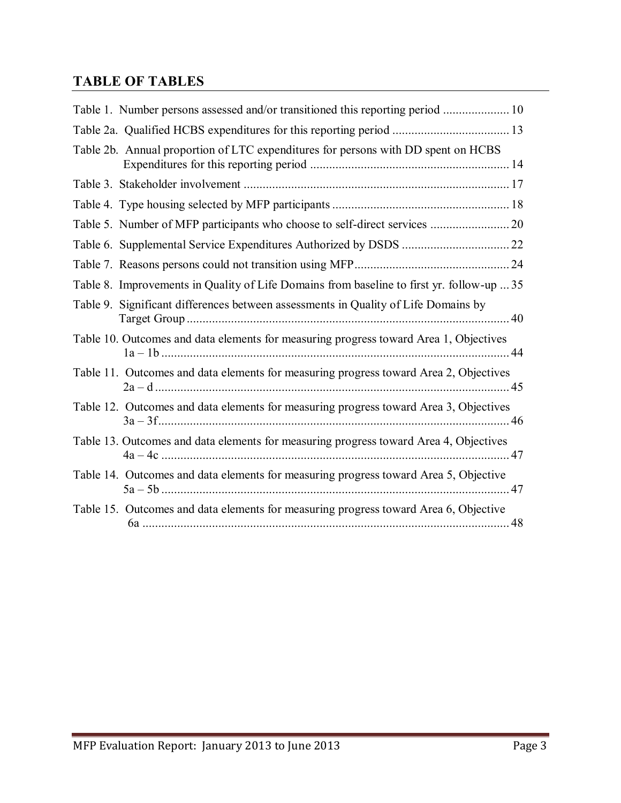## **TABLE OF TABLES**

| Table 1. Number persons assessed and/or transitioned this reporting period  10            |  |
|-------------------------------------------------------------------------------------------|--|
|                                                                                           |  |
| Table 2b. Annual proportion of LTC expenditures for persons with DD spent on HCBS         |  |
|                                                                                           |  |
|                                                                                           |  |
|                                                                                           |  |
|                                                                                           |  |
|                                                                                           |  |
| Table 8. Improvements in Quality of Life Domains from baseline to first yr. follow-up  35 |  |
| Table 9. Significant differences between assessments in Quality of Life Domains by        |  |
| Table 10. Outcomes and data elements for measuring progress toward Area 1, Objectives     |  |
| Table 11. Outcomes and data elements for measuring progress toward Area 2, Objectives     |  |
| Table 12. Outcomes and data elements for measuring progress toward Area 3, Objectives     |  |
| Table 13. Outcomes and data elements for measuring progress toward Area 4, Objectives     |  |
| Table 14. Outcomes and data elements for measuring progress toward Area 5, Objective      |  |
| Table 15. Outcomes and data elements for measuring progress toward Area 6, Objective      |  |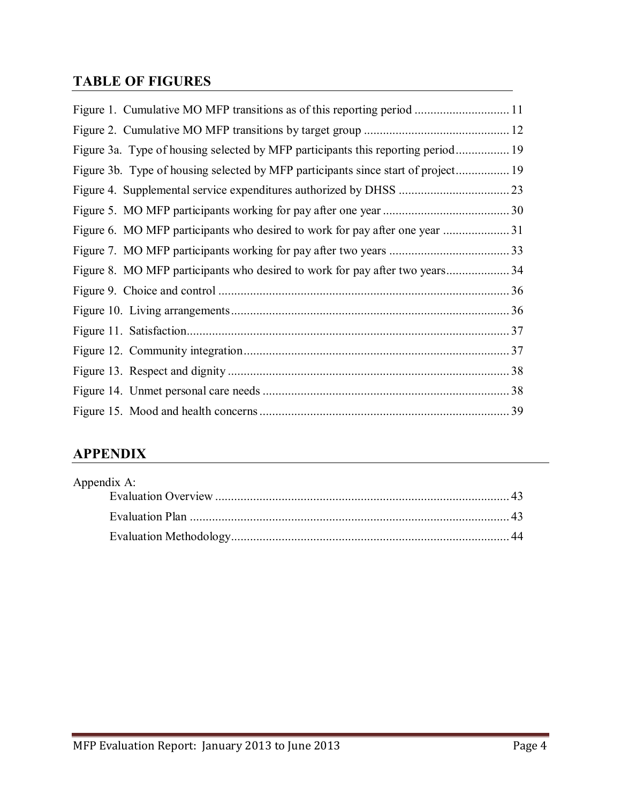## **TABLE OF FIGURES**

| Figure 3a. Type of housing selected by MFP participants this reporting period     |  |
|-----------------------------------------------------------------------------------|--|
| Figure 3b. Type of housing selected by MFP participants since start of project 19 |  |
|                                                                                   |  |
|                                                                                   |  |
|                                                                                   |  |
|                                                                                   |  |
|                                                                                   |  |
|                                                                                   |  |
|                                                                                   |  |
|                                                                                   |  |
|                                                                                   |  |
|                                                                                   |  |
|                                                                                   |  |
|                                                                                   |  |

## **APPENDIX**

| Appendix A: |  |
|-------------|--|
|             |  |
|             |  |
|             |  |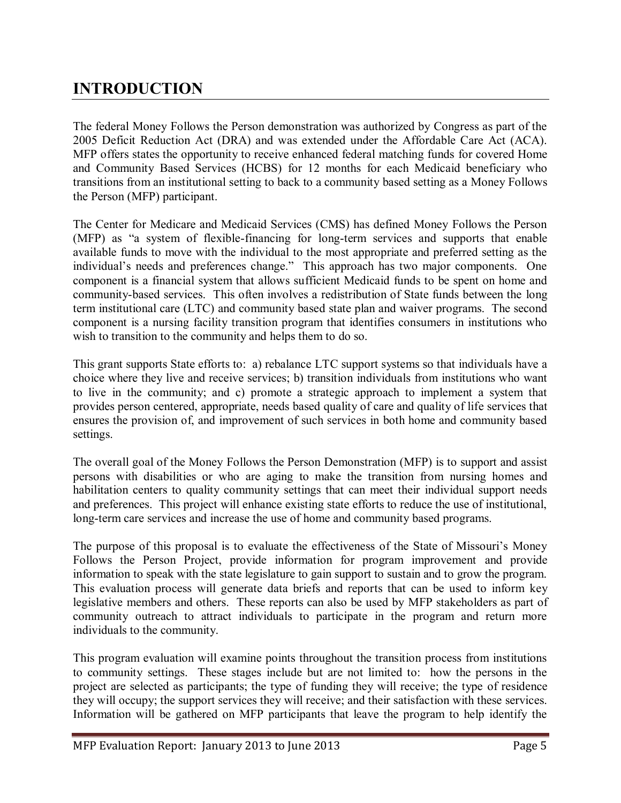## **INTRODUCTION**

The federal Money Follows the Person demonstration was authorized by Congress as part of the 2005 Deficit Reduction Act (DRA) and was extended under the Affordable Care Act (ACA). MFP offers states the opportunity to receive enhanced federal matching funds for covered Home and Community Based Services (HCBS) for 12 months for each Medicaid beneficiary who transitions from an institutional setting to back to a community based setting as a Money Follows the Person (MFP) participant.

The Center for Medicare and Medicaid Services (CMS) has defined Money Follows the Person (MFP) as "a system of flexible-financing for long-term services and supports that enable available funds to move with the individual to the most appropriate and preferred setting as the individual's needs and preferences change." This approach has two major components. One component is a financial system that allows sufficient Medicaid funds to be spent on home and community-based services. This often involves a redistribution of State funds between the long term institutional care (LTC) and community based state plan and waiver programs. The second component is a nursing facility transition program that identifies consumers in institutions who wish to transition to the community and helps them to do so.

This grant supports State efforts to: a) rebalance LTC support systems so that individuals have a choice where they live and receive services; b) transition individuals from institutions who want to live in the community; and c) promote a strategic approach to implement a system that provides person centered, appropriate, needs based quality of care and quality of life services that ensures the provision of, and improvement of such services in both home and community based settings.

The overall goal of the Money Follows the Person Demonstration (MFP) is to support and assist persons with disabilities or who are aging to make the transition from nursing homes and habilitation centers to quality community settings that can meet their individual support needs and preferences. This project will enhance existing state efforts to reduce the use of institutional, long-term care services and increase the use of home and community based programs.

The purpose of this proposal is to evaluate the effectiveness of the State of Missouri's Money Follows the Person Project, provide information for program improvement and provide information to speak with the state legislature to gain support to sustain and to grow the program. This evaluation process will generate data briefs and reports that can be used to inform key legislative members and others. These reports can also be used by MFP stakeholders as part of community outreach to attract individuals to participate in the program and return more individuals to the community.

This program evaluation will examine points throughout the transition process from institutions to community settings. These stages include but are not limited to: how the persons in the project are selected as participants; the type of funding they will receive; the type of residence they will occupy; the support services they will receive; and their satisfaction with these services. Information will be gathered on MFP participants that leave the program to help identify the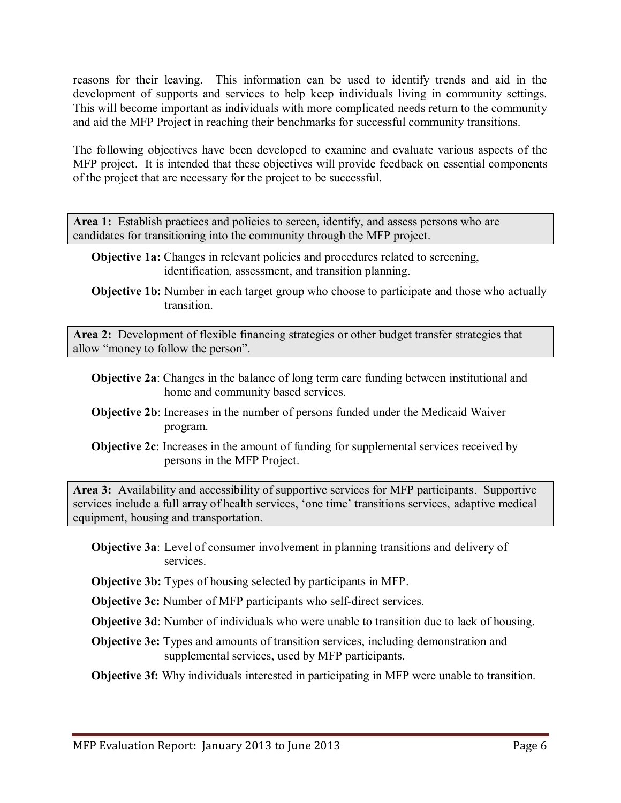reasons for their leaving. This information can be used to identify trends and aid in the development of supports and services to help keep individuals living in community settings. This will become important as individuals with more complicated needs return to the community and aid the MFP Project in reaching their benchmarks for successful community transitions.

The following objectives have been developed to examine and evaluate various aspects of the MFP project. It is intended that these objectives will provide feedback on essential components of the project that are necessary for the project to be successful.

Area 1: Establish practices and policies to screen, identify, and assess persons who are candidates for transitioning into the community through the MFP project.

- **Objective 1a:** Changes in relevant policies and procedures related to screening, identification, assessment, and transition planning.
- **Objective 1b:** Number in each target group who choose to participate and those who actually transition.

**Area 2:** Development of flexible financing strategies or other budget transfer strategies that allow "money to follow the person".

- **Objective 2a**: Changes in the balance of long term care funding between institutional and home and community based services.
- **Objective 2b**: Increases in the number of persons funded under the Medicaid Waiver program.
- **Objective 2c**: Increases in the amount of funding for supplemental services received by persons in the MFP Project.

**Area 3:** Availability and accessibility of supportive services for MFP participants. Supportive services include a full array of health services, 'one time' transitions services, adaptive medical equipment, housing and transportation.

- **Objective 3a**: Level of consumer involvement in planning transitions and delivery of services.
- **Objective 3b:** Types of housing selected by participants in MFP.

**Objective 3c:** Number of MFP participants who self-direct services.

**Objective 3d**: Number of individuals who were unable to transition due to lack of housing.

**Objective 3e:** Types and amounts of transition services, including demonstration and supplemental services, used by MFP participants.

**Objective 3f:** Why individuals interested in participating in MFP were unable to transition.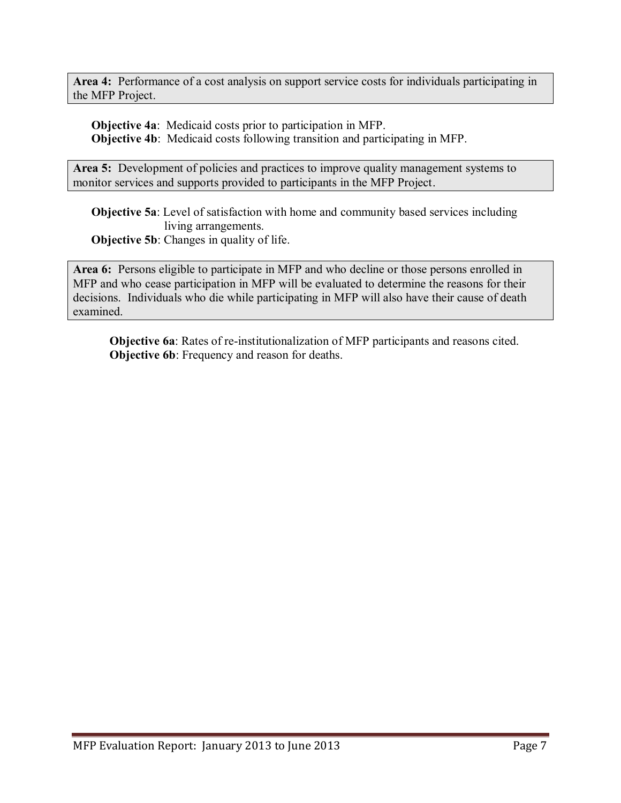**Area 4:** Performance of a cost analysis on support service costs for individuals participating in the MFP Project.

**Objective 4a**: Medicaid costs prior to participation in MFP. **Objective 4b**: Medicaid costs following transition and participating in MFP.

Area 5: Development of policies and practices to improve quality management systems to monitor services and supports provided to participants in the MFP Project.

**Objective 5a**: Level of satisfaction with home and community based services including living arrangements. **Objective 5b:** Changes in quality of life.

**Area 6:** Persons eligible to participate in MFP and who decline or those persons enrolled in MFP and who cease participation in MFP will be evaluated to determine the reasons for their decisions. Individuals who die while participating in MFP will also have their cause of death examined.

**Objective 6a**: Rates of re-institutionalization of MFP participants and reasons cited. **Objective 6b**: Frequency and reason for deaths.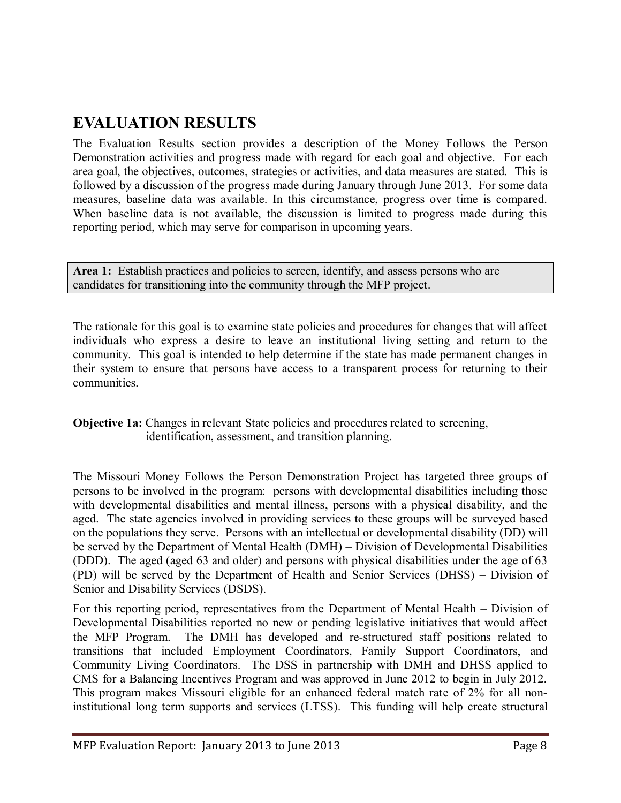## **EVALUATION RESULTS**

The Evaluation Results section provides a description of the Money Follows the Person Demonstration activities and progress made with regard for each goal and objective. For each area goal, the objectives, outcomes, strategies or activities, and data measures are stated. This is followed by a discussion of the progress made during January through June 2013. For some data measures, baseline data was available. In this circumstance, progress over time is compared. When baseline data is not available, the discussion is limited to progress made during this reporting period, which may serve for comparison in upcoming years.

Area 1: Establish practices and policies to screen, identify, and assess persons who are candidates for transitioning into the community through the MFP project.

The rationale for this goal is to examine state policies and procedures for changes that will affect individuals who express a desire to leave an institutional living setting and return to the community. This goal is intended to help determine if the state has made permanent changes in their system to ensure that persons have access to a transparent process for returning to their communities.

#### **Objective 1a:** Changes in relevant State policies and procedures related to screening, identification, assessment, and transition planning.

The Missouri Money Follows the Person Demonstration Project has targeted three groups of persons to be involved in the program: persons with developmental disabilities including those with developmental disabilities and mental illness, persons with a physical disability, and the aged. The state agencies involved in providing services to these groups will be surveyed based on the populations they serve. Persons with an intellectual or developmental disability (DD) will be served by the Department of Mental Health (DMH) – Division of Developmental Disabilities (DDD). The aged (aged 63 and older) and persons with physical disabilities under the age of 63 (PD) will be served by the Department of Health and Senior Services (DHSS) – Division of Senior and Disability Services (DSDS).

For this reporting period, representatives from the Department of Mental Health – Division of Developmental Disabilities reported no new or pending legislative initiatives that would affect the MFP Program. The DMH has developed and re-structured staff positions related to transitions that included Employment Coordinators, Family Support Coordinators, and Community Living Coordinators. The DSS in partnership with DMH and DHSS applied to CMS for a Balancing Incentives Program and was approved in June 2012 to begin in July 2012. This program makes Missouri eligible for an enhanced federal match rate of 2% for all noninstitutional long term supports and services (LTSS). This funding will help create structural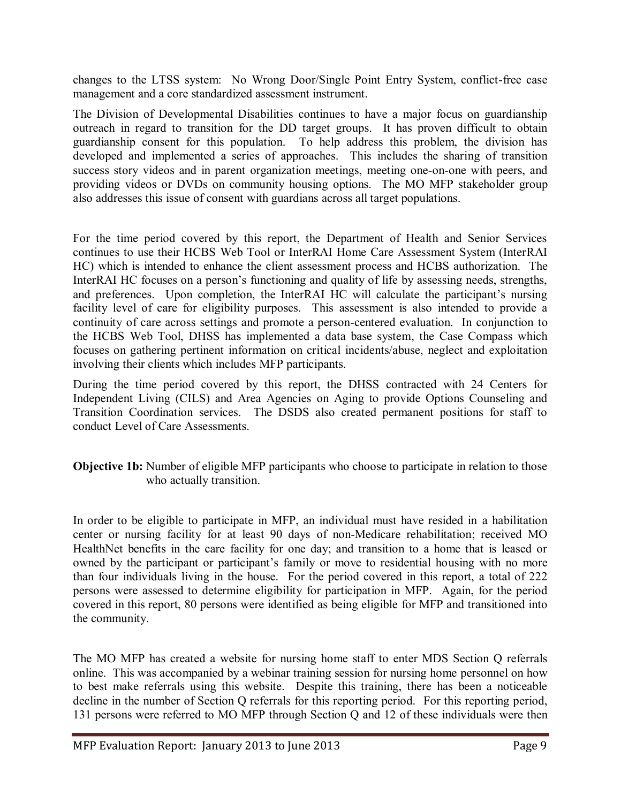changes to the LTSS system: No Wrong Door/Single Point Entry System, conflict-free case management and a core standardized assessment instrument.

The Division of Developmental Disabilities continues to have a major focus on guardianship outreach in regard to transition for the DD target groups. It has proven difficult to obtain guardianship consent for this population. To help address this problem, the division has developed and implemented a series of approaches. This includes the sharing of transition success story videos and in parent organization meetings, meeting one-on-one with peers, and providing videos or DVDs on community housing options. The MO MFP stakeholder group also addresses this issue of consent with guardians across all target populations.

For the time period covered by this report, the Department of Health and Senior Services continues to use their HCBS Web Tool or InterRAI Home Care Assessment System (InterRAI HC) which is intended to enhance the client assessment process and HCBS authorization. The InterRAI HC focuses on a person's functioning and quality of life by assessing needs, strengths, and preferences. Upon completion, the InterRAI HC will calculate the participant's nursing facility level of care for eligibility purposes. This assessment is also intended to provide a continuity of care across settings and promote a person-centered evaluation. In conjunction to the HCBS Web Tool, DHSS has implemented a data base system, the Case Compass which focuses on gathering pertinent information on critical incidents/abuse, neglect and exploitation involving their clients which includes MFP participants.

During the time period covered by this report, the DHSS contracted with 24 Centers for Independent Living (CILS) and Area Agencies on Aging to provide Options Counseling and Transition Coordination services. The DSDS also created permanent positions for staff to conduct Level of Care Assessments.

#### **Objective 1b:** Number of eligible MFP participants who choose to participate in relation to those who actually transition.

In order to be eligible to participate in MFP, an individual must have resided in a habilitation center or nursing facility for at least 90 days of non-Medicare rehabilitation; received MO HealthNet benefits in the care facility for one day; and transition to a home that is leased or owned by the participant or participant's family or move to residential housing with no more than four individuals living in the house. For the period covered in this report, a total of 222 persons were assessed to determine eligibility for participation in MFP. Again, for the period covered in this report, 80 persons were identified as being eligible for MFP and transitioned into the community.

The MO MFP has created a website for nursing home staff to enter MDS Section Q referrals online. This was accompanied by a webinar training session for nursing home personnel on how to best make referrals using this website. Despite this training, there has been a noticeable decline in the number of Section Q referrals for this reporting period. For this reporting period, 131 persons were referred to MO MFP through Section Q and 12 of these individuals were then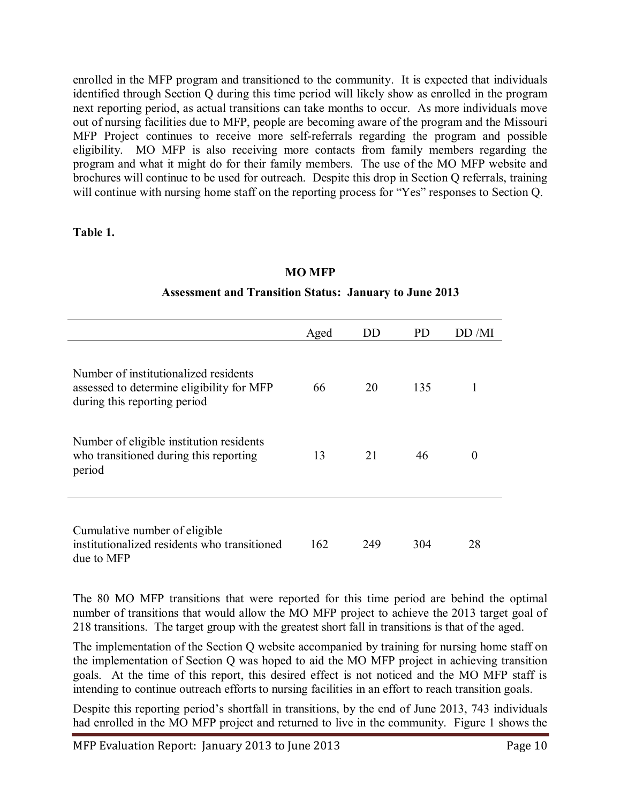enrolled in the MFP program and transitioned to the community. It is expected that individuals identified through Section Q during this time period will likely show as enrolled in the program next reporting period, as actual transitions can take months to occur. As more individuals move out of nursing facilities due to MFP, people are becoming aware of the program and the Missouri MFP Project continues to receive more self-referrals regarding the program and possible eligibility. MO MFP is also receiving more contacts from family members regarding the program and what it might do for their family members. The use of the MO MFP website and brochures will continue to be used for outreach. Despite this drop in Section Q referrals, training will continue with nursing home staff on the reporting process for "Yes" responses to Section Q.

**Table 1.** 

#### **MO MFP**

## **Assessment and Transition Status: January to June 2013**

|                                                                                                                    | Aged | DD  | PD  | DD /MI   |
|--------------------------------------------------------------------------------------------------------------------|------|-----|-----|----------|
| Number of institutionalized residents<br>assessed to determine eligibility for MFP<br>during this reporting period | 66   | 20  | 135 | 1        |
| Number of eligible institution residents<br>who transitioned during this reporting<br>period                       | 13   | 21  | 46  | $\theta$ |
| Cumulative number of eligible<br>institutionalized residents who transitioned<br>due to MFP                        | 162  | 249 | 304 | 28       |

The 80 MO MFP transitions that were reported for this time period are behind the optimal number of transitions that would allow the MO MFP project to achieve the 2013 target goal of 218 transitions. The target group with the greatest short fall in transitions is that of the aged.

The implementation of the Section Q website accompanied by training for nursing home staff on the implementation of Section Q was hoped to aid the MO MFP project in achieving transition goals. At the time of this report, this desired effect is not noticed and the MO MFP staff is intending to continue outreach efforts to nursing facilities in an effort to reach transition goals.

Despite this reporting period's shortfall in transitions, by the end of June 2013, 743 individuals had enrolled in the MO MFP project and returned to live in the community. Figure 1 shows the

MFP Evaluation Report: January 2013 to June 2013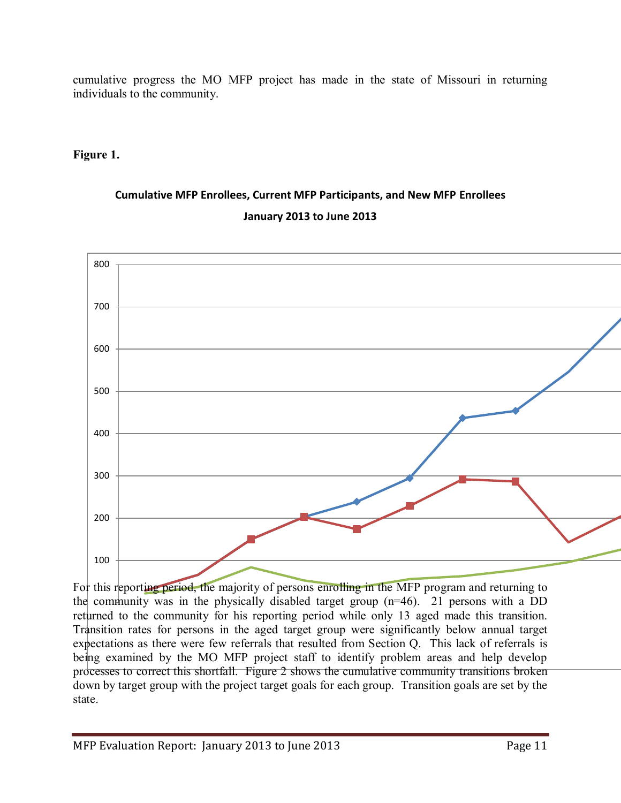cumulative progress the MO MFP project has made in the state of Missouri in returning individuals to the community.

#### **Figure 1.**

## **Cumulative MFP Enrollees, Current MFP Participants, and New MFP Enrollees January 2013 to June 2013**



For this reporting period, the majority of persons enrolling in the MFP program and returning to the community was in the physically disabled target group  $(n=46)$ . 21 persons with a DD returned to the community for his reporting period while only 13 aged made this transition. Transition rates for persons in the aged target group were significantly below annual target expectations as there were few referrals that resulted from Section Q. This lack of referrals is being examined by the MO MFP project staff to identify problem areas and help develop processes to correct this shortfall. Figure 2 shows the cumulative community transitions broken down by target group with the project target goals for each group. Transition goals are set by the state.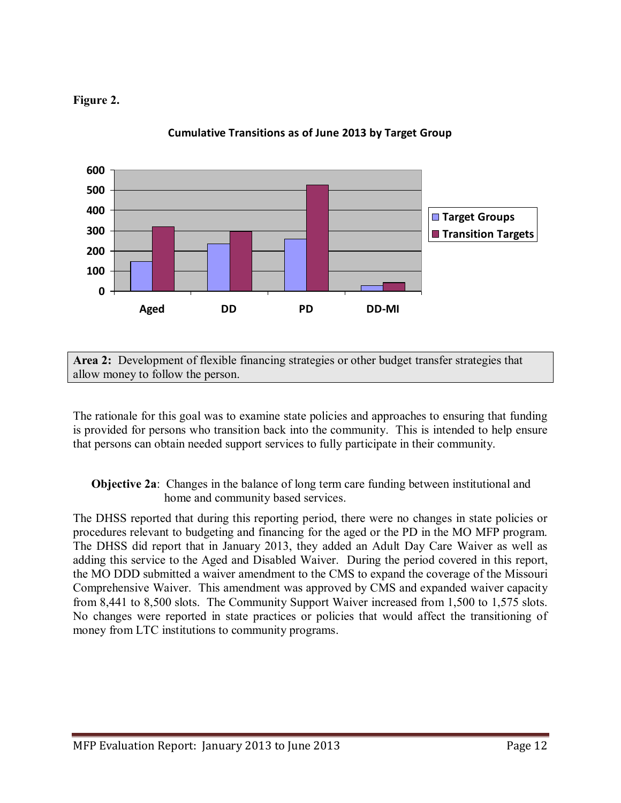



**Cumulative Transitions as of June 2013 by Target Group**

**Area 2:** Development of flexible financing strategies or other budget transfer strategies that allow money to follow the person.

The rationale for this goal was to examine state policies and approaches to ensuring that funding is provided for persons who transition back into the community. This is intended to help ensure that persons can obtain needed support services to fully participate in their community.

#### **Objective 2a**: Changes in the balance of long term care funding between institutional and home and community based services.

The DHSS reported that during this reporting period, there were no changes in state policies or procedures relevant to budgeting and financing for the aged or the PD in the MO MFP program. The DHSS did report that in January 2013, they added an Adult Day Care Waiver as well as adding this service to the Aged and Disabled Waiver. During the period covered in this report, the MO DDD submitted a waiver amendment to the CMS to expand the coverage of the Missouri Comprehensive Waiver. This amendment was approved by CMS and expanded waiver capacity from 8,441 to 8,500 slots. The Community Support Waiver increased from 1,500 to 1,575 slots. No changes were reported in state practices or policies that would affect the transitioning of money from LTC institutions to community programs.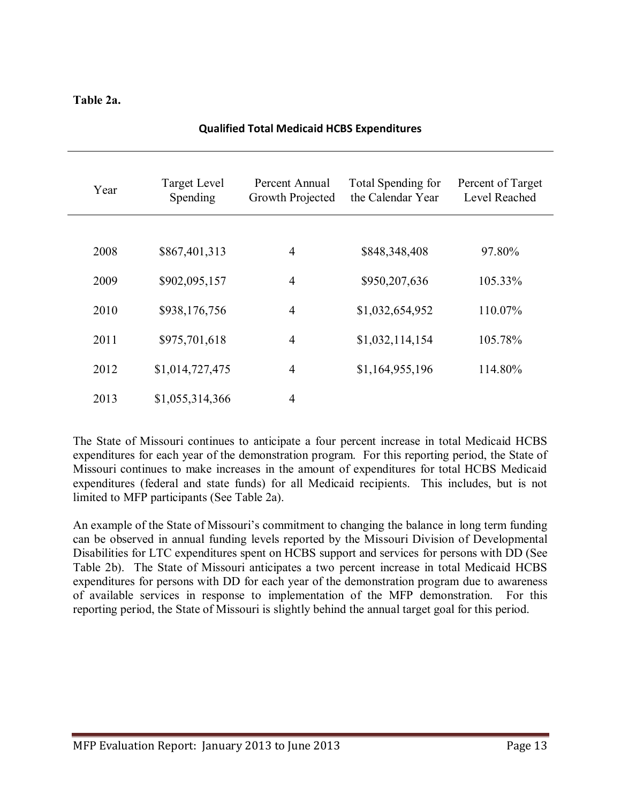#### **Table 2a.**

| Year | Target Level<br>Spending | Percent Annual<br>Growth Projected | Total Spending for<br>the Calendar Year | Percent of Target<br>Level Reached |
|------|--------------------------|------------------------------------|-----------------------------------------|------------------------------------|
|      |                          |                                    |                                         |                                    |
| 2008 | \$867,401,313            | 4                                  | \$848,348,408                           | 97.80%                             |
| 2009 | \$902,095,157            | $\overline{4}$                     | \$950,207,636                           | 105.33%                            |
| 2010 | \$938,176,756            | $\overline{4}$                     | \$1,032,654,952                         | 110.07%                            |
| 2011 | \$975,701,618            | $\overline{4}$                     | \$1,032,114,154                         | 105.78%                            |
| 2012 | \$1,014,727,475          | $\overline{4}$                     | \$1,164,955,196                         | 114.80%                            |
| 2013 | \$1,055,314,366          | $\overline{4}$                     |                                         |                                    |

#### **Qualified Total Medicaid HCBS Expenditures**

The State of Missouri continues to anticipate a four percent increase in total Medicaid HCBS expenditures for each year of the demonstration program. For this reporting period, the State of Missouri continues to make increases in the amount of expenditures for total HCBS Medicaid expenditures (federal and state funds) for all Medicaid recipients. This includes, but is not limited to MFP participants (See Table 2a).

An example of the State of Missouri's commitment to changing the balance in long term funding can be observed in annual funding levels reported by the Missouri Division of Developmental Disabilities for LTC expenditures spent on HCBS support and services for persons with DD (See Table 2b). The State of Missouri anticipates a two percent increase in total Medicaid HCBS expenditures for persons with DD for each year of the demonstration program due to awareness of available services in response to implementation of the MFP demonstration. For this reporting period, the State of Missouri is slightly behind the annual target goal for this period.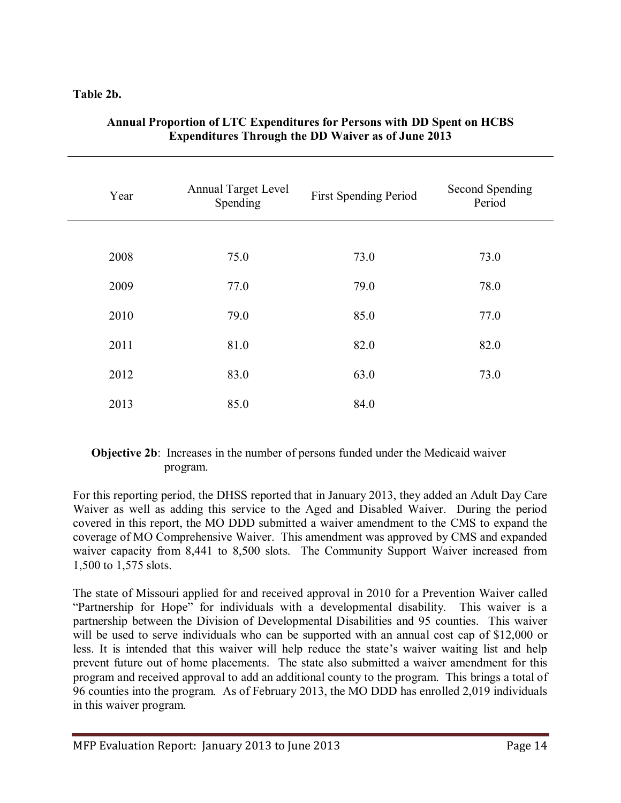#### **Table 2b.**

| Year | <b>Annual Target Level</b><br>Spending | First Spending Period | <b>Second Spending</b><br>Period |
|------|----------------------------------------|-----------------------|----------------------------------|
|      |                                        |                       |                                  |
| 2008 | 75.0                                   | 73.0                  | 73.0                             |
| 2009 | 77.0                                   | 79.0                  | 78.0                             |
| 2010 | 79.0                                   | 85.0                  | 77.0                             |
| 2011 | 81.0                                   | 82.0                  | 82.0                             |
| 2012 | 83.0                                   | 63.0                  | 73.0                             |
| 2013 | 85.0                                   | 84.0                  |                                  |

#### **Annual Proportion of LTC Expenditures for Persons with DD Spent on HCBS Expenditures Through the DD Waiver as of June 2013**

#### **Objective 2b**: Increases in the number of persons funded under the Medicaid waiver program.

For this reporting period, the DHSS reported that in January 2013, they added an Adult Day Care Waiver as well as adding this service to the Aged and Disabled Waiver. During the period covered in this report, the MO DDD submitted a waiver amendment to the CMS to expand the coverage of MO Comprehensive Waiver. This amendment was approved by CMS and expanded waiver capacity from 8,441 to 8,500 slots. The Community Support Waiver increased from 1,500 to 1,575 slots.

The state of Missouri applied for and received approval in 2010 for a Prevention Waiver called "Partnership for Hope" for individuals with a developmental disability. This waiver is a partnership between the Division of Developmental Disabilities and 95 counties. This waiver will be used to serve individuals who can be supported with an annual cost cap of \$12,000 or less. It is intended that this waiver will help reduce the state's waiver waiting list and help prevent future out of home placements. The state also submitted a waiver amendment for this program and received approval to add an additional county to the program. This brings a total of 96 counties into the program. As of February 2013, the MO DDD has enrolled 2,019 individuals in this waiver program.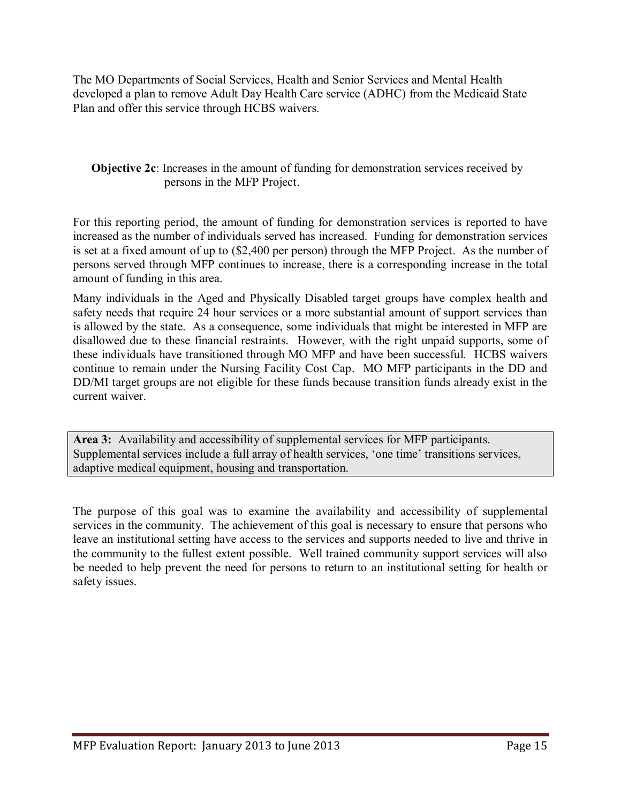The MO Departments of Social Services, Health and Senior Services and Mental Health developed a plan to remove Adult Day Health Care service (ADHC) from the Medicaid State Plan and offer this service through HCBS waivers.

**Objective 2c**: Increases in the amount of funding for demonstration services received by persons in the MFP Project.

For this reporting period, the amount of funding for demonstration services is reported to have increased as the number of individuals served has increased. Funding for demonstration services is set at a fixed amount of up to (\$2,400 per person) through the MFP Project. As the number of persons served through MFP continues to increase, there is a corresponding increase in the total amount of funding in this area.

Many individuals in the Aged and Physically Disabled target groups have complex health and safety needs that require 24 hour services or a more substantial amount of support services than is allowed by the state. As a consequence, some individuals that might be interested in MFP are disallowed due to these financial restraints. However, with the right unpaid supports, some of these individuals have transitioned through MO MFP and have been successful. HCBS waivers continue to remain under the Nursing Facility Cost Cap. MO MFP participants in the DD and DD/MI target groups are not eligible for these funds because transition funds already exist in the current waiver.

**Area 3:** Availability and accessibility of supplemental services for MFP participants. Supplemental services include a full array of health services, 'one time' transitions services, adaptive medical equipment, housing and transportation.

The purpose of this goal was to examine the availability and accessibility of supplemental services in the community. The achievement of this goal is necessary to ensure that persons who leave an institutional setting have access to the services and supports needed to live and thrive in the community to the fullest extent possible. Well trained community support services will also be needed to help prevent the need for persons to return to an institutional setting for health or safety issues.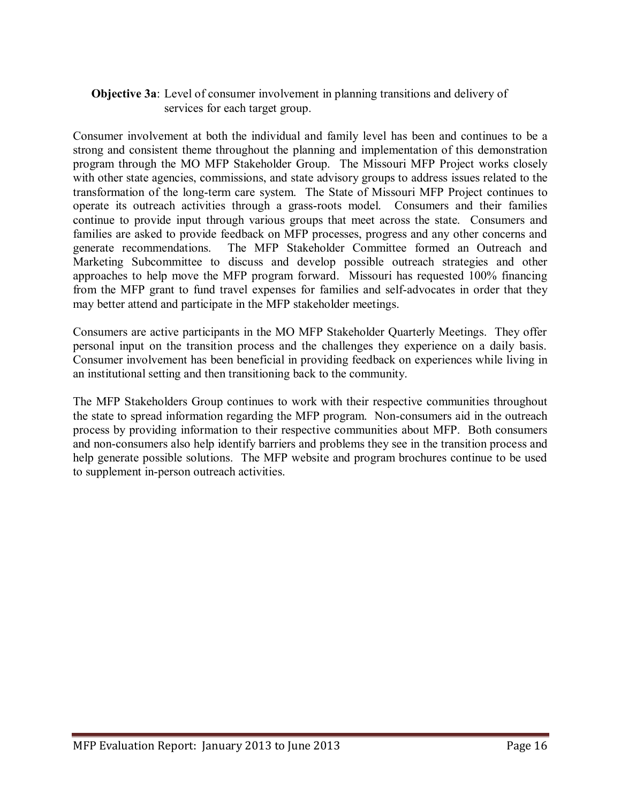#### **Objective 3a**: Level of consumer involvement in planning transitions and delivery of services for each target group.

Consumer involvement at both the individual and family level has been and continues to be a strong and consistent theme throughout the planning and implementation of this demonstration program through the MO MFP Stakeholder Group. The Missouri MFP Project works closely with other state agencies, commissions, and state advisory groups to address issues related to the transformation of the long-term care system. The State of Missouri MFP Project continues to operate its outreach activities through a grass-roots model. Consumers and their families continue to provide input through various groups that meet across the state. Consumers and families are asked to provide feedback on MFP processes, progress and any other concerns and generate recommendations. The MFP Stakeholder Committee formed an Outreach and Marketing Subcommittee to discuss and develop possible outreach strategies and other approaches to help move the MFP program forward. Missouri has requested 100% financing from the MFP grant to fund travel expenses for families and self-advocates in order that they may better attend and participate in the MFP stakeholder meetings.

Consumers are active participants in the MO MFP Stakeholder Quarterly Meetings. They offer personal input on the transition process and the challenges they experience on a daily basis. Consumer involvement has been beneficial in providing feedback on experiences while living in an institutional setting and then transitioning back to the community.

The MFP Stakeholders Group continues to work with their respective communities throughout the state to spread information regarding the MFP program. Non-consumers aid in the outreach process by providing information to their respective communities about MFP. Both consumers and non-consumers also help identify barriers and problems they see in the transition process and help generate possible solutions. The MFP website and program brochures continue to be used to supplement in-person outreach activities.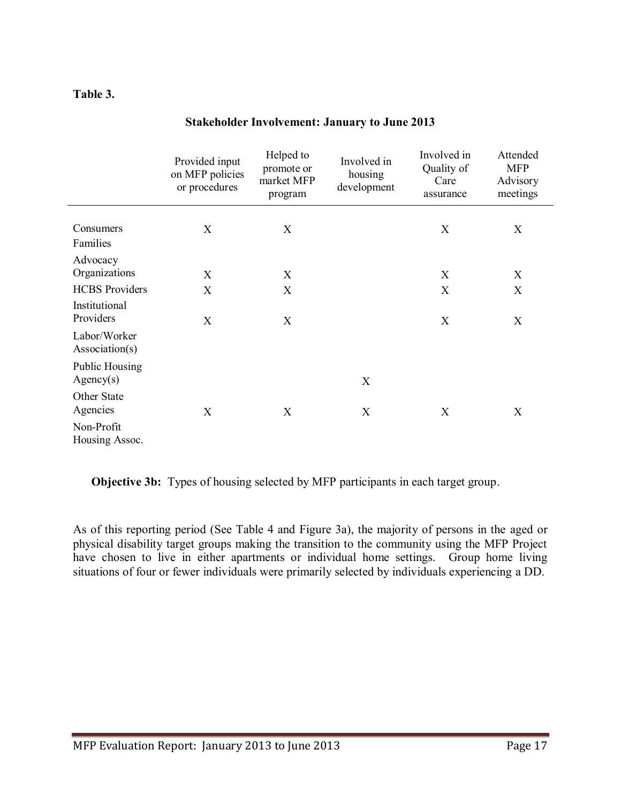#### **Table 3.**

|                                    | Provided input<br>on MFP policies<br>or procedures | Helped to<br>promote or<br>market MFP<br>program | Involved in<br>housing<br>development | Involved in<br>Quality of<br>Care<br>assurance | Attended<br><b>MFP</b><br>Advisory<br>meetings |
|------------------------------------|----------------------------------------------------|--------------------------------------------------|---------------------------------------|------------------------------------------------|------------------------------------------------|
| Consumers                          | X                                                  | X                                                |                                       | X                                              | X                                              |
| Families                           |                                                    |                                                  |                                       |                                                |                                                |
| Advocacy<br>Organizations          | X                                                  | X                                                |                                       | X                                              | X                                              |
| <b>HCBS</b> Providers              | X                                                  | X                                                |                                       | X                                              | X                                              |
| Institutional<br>Providers         | X                                                  | X                                                |                                       | X                                              | X                                              |
| Labor/Worker<br>Association(s)     |                                                    |                                                  |                                       |                                                |                                                |
| <b>Public Housing</b><br>Agency(s) |                                                    |                                                  | X                                     |                                                |                                                |
| Other State<br>Agencies            | X                                                  | X                                                | X                                     | X                                              | X                                              |
| Non-Profit<br>Housing Assoc.       |                                                    |                                                  |                                       |                                                |                                                |

#### **Stakeholder Involvement: January to June 2013**

**Objective 3b:** Types of housing selected by MFP participants in each target group.

As of this reporting period (See Table 4 and Figure 3a), the majority of persons in the aged or physical disability target groups making the transition to the community using the MFP Project have chosen to live in either apartments or individual home settings. Group home living situations of four or fewer individuals were primarily selected by individuals experiencing a DD.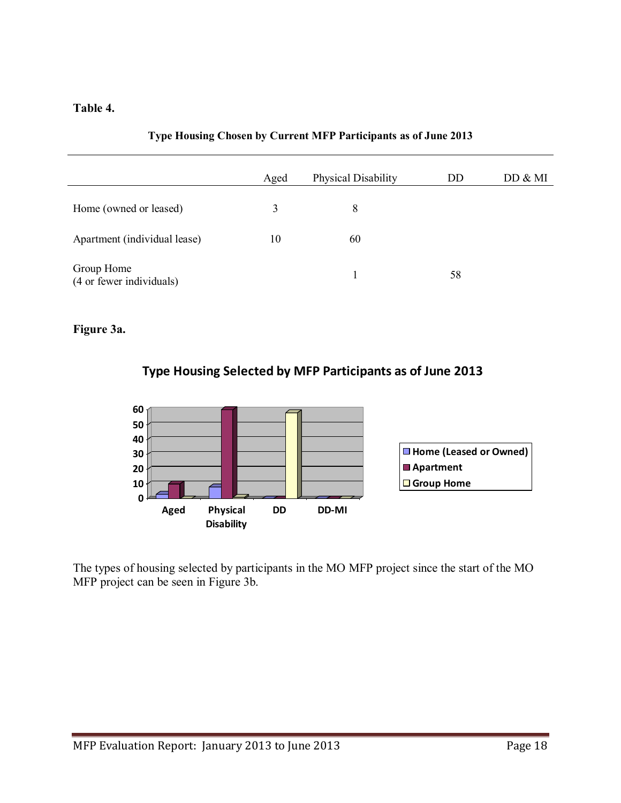#### **Table 4.**

|                                        | Aged | Physical Disability | DD | DD & MI |
|----------------------------------------|------|---------------------|----|---------|
| Home (owned or leased)                 | 3    | 8                   |    |         |
| Apartment (individual lease)           | 10   | 60                  |    |         |
| Group Home<br>(4 or fewer individuals) |      |                     | 58 |         |

#### **Type Housing Chosen by Current MFP Participants as of June 2013**

#### **Figure 3a.**

### **Type Housing Selected by MFP Participants as of June 2013**



The types of housing selected by participants in the MO MFP project since the start of the MO MFP project can be seen in Figure 3b.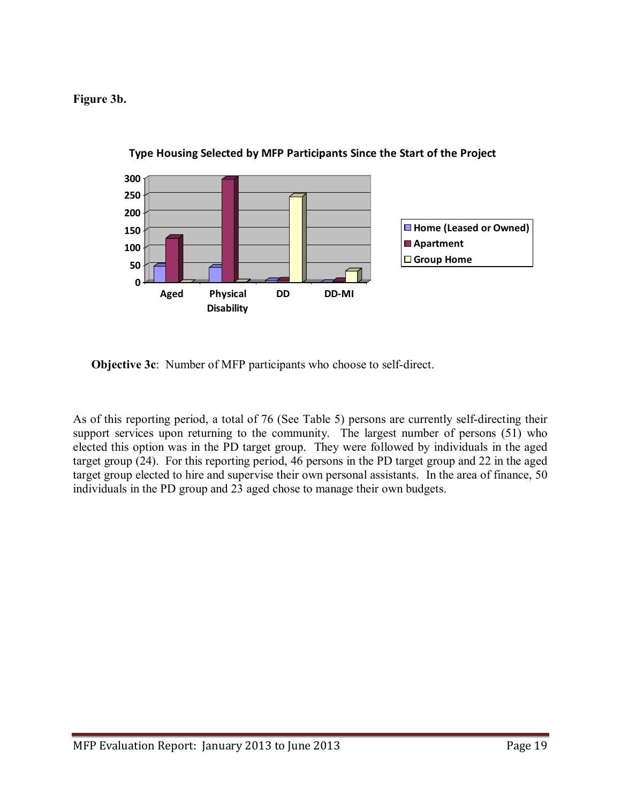**Figure 3b.** 



**Type Housing Selected by MFP Participants Since the Start of the Project**

**Objective 3c**: Number of MFP participants who choose to self-direct.

As of this reporting period, a total of 76 (See Table 5) persons are currently self-directing their support services upon returning to the community. The largest number of persons (51) who elected this option was in the PD target group. They were followed by individuals in the aged target group (24). For this reporting period, 46 persons in the PD target group and 22 in the aged target group elected to hire and supervise their own personal assistants. In the area of finance, 50 individuals in the PD group and 23 aged chose to manage their own budgets.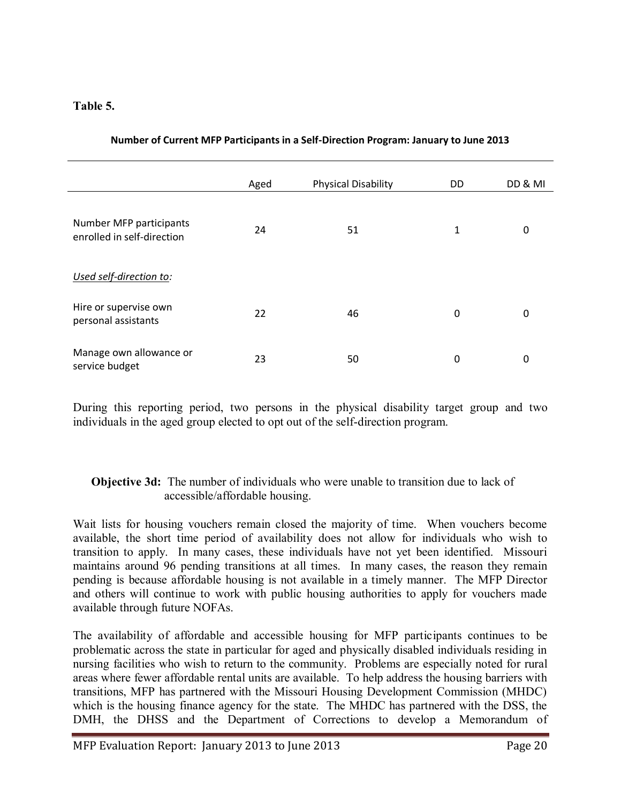#### **Table 5.**

|                                                       | Aged | <b>Physical Disability</b> | DD | DD & MI |
|-------------------------------------------------------|------|----------------------------|----|---------|
| Number MFP participants<br>enrolled in self-direction | 24   | 51                         | 1  | 0       |
| Used self-direction to:                               |      |                            |    |         |
| Hire or supervise own<br>personal assistants          | 22   | 46                         | 0  | 0       |
| Manage own allowance or<br>service budget             | 23   | 50                         | 0  | 0       |

#### **Number of Current MFP Participants in a Self-Direction Program: January to June 2013**

During this reporting period, two persons in the physical disability target group and two individuals in the aged group elected to opt out of the self-direction program.

#### **Objective 3d:** The number of individuals who were unable to transition due to lack of accessible/affordable housing.

Wait lists for housing vouchers remain closed the majority of time. When vouchers become available, the short time period of availability does not allow for individuals who wish to transition to apply. In many cases, these individuals have not yet been identified. Missouri maintains around 96 pending transitions at all times. In many cases, the reason they remain pending is because affordable housing is not available in a timely manner. The MFP Director and others will continue to work with public housing authorities to apply for vouchers made available through future NOFAs.

The availability of affordable and accessible housing for MFP participants continues to be problematic across the state in particular for aged and physically disabled individuals residing in nursing facilities who wish to return to the community. Problems are especially noted for rural areas where fewer affordable rental units are available. To help address the housing barriers with transitions, MFP has partnered with the Missouri Housing Development Commission (MHDC) which is the housing finance agency for the state. The MHDC has partnered with the DSS, the DMH, the DHSS and the Department of Corrections to develop a Memorandum of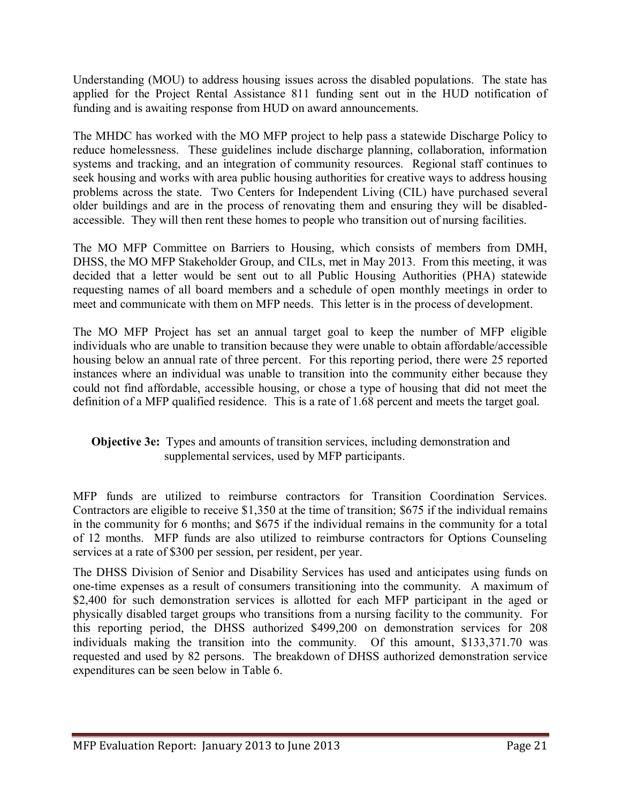Understanding (MOU) to address housing issues across the disabled populations. The state has applied for the Project Rental Assistance 811 funding sent out in the HUD notification of funding and is awaiting response from HUD on award announcements.

The MHDC has worked with the MO MFP project to help pass a statewide Discharge Policy to reduce homelessness. These guidelines include discharge planning, collaboration, information systems and tracking, and an integration of community resources. Regional staff continues to seek housing and works with area public housing authorities for creative ways to address housing problems across the state. Two Centers for Independent Living (CIL) have purchased several older buildings and are in the process of renovating them and ensuring they will be disabledaccessible. They will then rent these homes to people who transition out of nursing facilities.

The MO MFP Committee on Barriers to Housing, which consists of members from DMH, DHSS, the MO MFP Stakeholder Group, and CILs, met in May 2013. From this meeting, it was decided that a letter would be sent out to all Public Housing Authorities (PHA) statewide requesting names of all board members and a schedule of open monthly meetings in order to meet and communicate with them on MFP needs. This letter is in the process of development.

The MO MFP Project has set an annual target goal to keep the number of MFP eligible individuals who are unable to transition because they were unable to obtain affordable/accessible housing below an annual rate of three percent. For this reporting period, there were 25 reported instances where an individual was unable to transition into the community either because they could not find affordable, accessible housing, or chose a type of housing that did not meet the definition of a MFP qualified residence. This is a rate of 1.68 percent and meets the target goal.

#### **Objective 3e:** Types and amounts of transition services, including demonstration and supplemental services, used by MFP participants.

MFP funds are utilized to reimburse contractors for Transition Coordination Services. Contractors are eligible to receive \$1,350 at the time of transition; \$675 if the individual remains in the community for 6 months; and \$675 if the individual remains in the community for a total of 12 months. MFP funds are also utilized to reimburse contractors for Options Counseling services at a rate of \$300 per session, per resident, per year.

The DHSS Division of Senior and Disability Services has used and anticipates using funds on one-time expenses as a result of consumers transitioning into the community. A maximum of \$2,400 for such demonstration services is allotted for each MFP participant in the aged or physically disabled target groups who transitions from a nursing facility to the community. For this reporting period, the DHSS authorized \$499,200 on demonstration services for 208 individuals making the transition into the community. Of this amount, \$133,371.70 was requested and used by 82 persons. The breakdown of DHSS authorized demonstration service expenditures can be seen below in Table 6.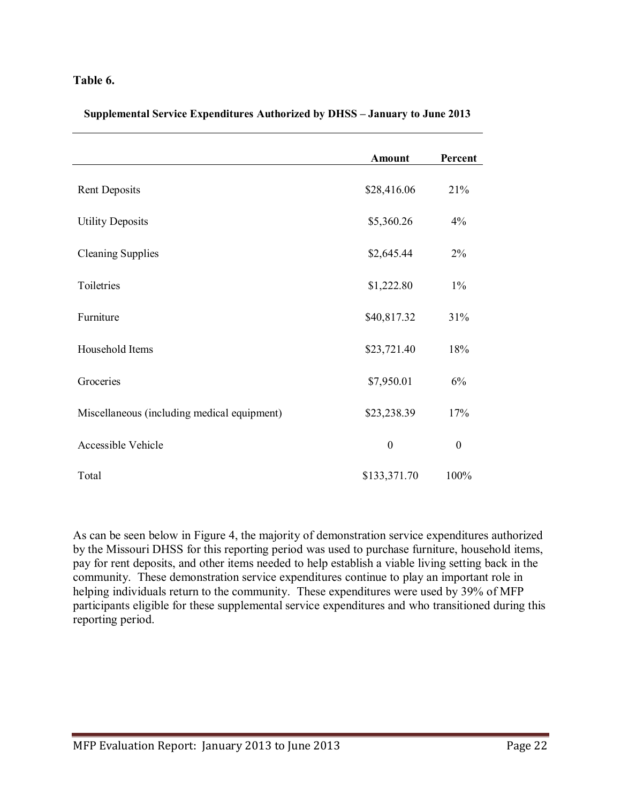#### **Table 6.**

|  |  | Supplemental Service Expenditures Authorized by DHSS – January to June 2013 |  |  |
|--|--|-----------------------------------------------------------------------------|--|--|
|  |  |                                                                             |  |  |
|  |  |                                                                             |  |  |

|                                             | <b>Amount</b>    | Percent          |
|---------------------------------------------|------------------|------------------|
|                                             |                  |                  |
| <b>Rent Deposits</b>                        | \$28,416.06      | 21%              |
| <b>Utility Deposits</b>                     | \$5,360.26       | 4%               |
| <b>Cleaning Supplies</b>                    | \$2,645.44       | 2%               |
| Toiletries                                  | \$1,222.80       | $1\%$            |
| Furniture                                   | \$40,817.32      | 31%              |
| Household Items                             | \$23,721.40      | 18%              |
| Groceries                                   | \$7,950.01       | 6%               |
| Miscellaneous (including medical equipment) | \$23,238.39      | 17%              |
| <b>Accessible Vehicle</b>                   | $\boldsymbol{0}$ | $\boldsymbol{0}$ |
| Total                                       | \$133,371.70     | 100%             |

As can be seen below in Figure 4, the majority of demonstration service expenditures authorized by the Missouri DHSS for this reporting period was used to purchase furniture, household items, pay for rent deposits, and other items needed to help establish a viable living setting back in the community. These demonstration service expenditures continue to play an important role in helping individuals return to the community. These expenditures were used by 39% of MFP participants eligible for these supplemental service expenditures and who transitioned during this reporting period.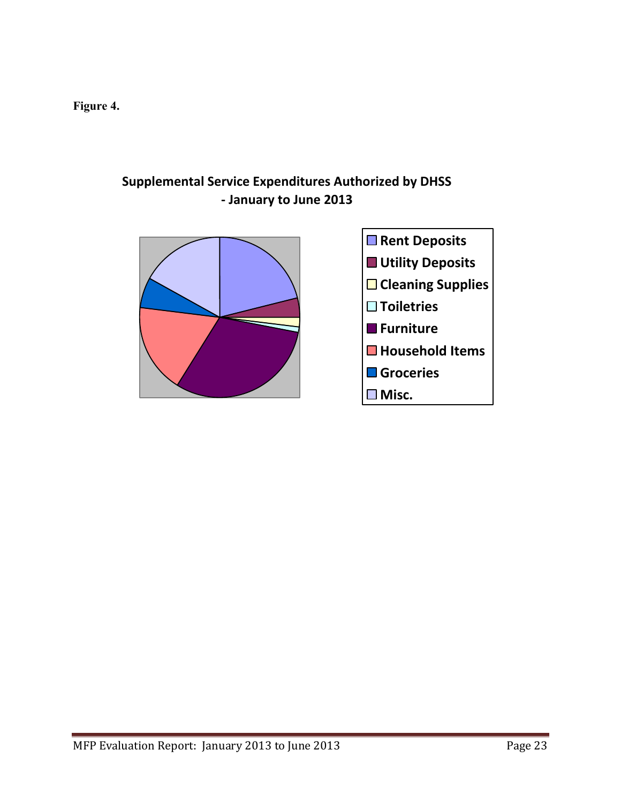**Figure 4.** 

## **Supplemental Service Expenditures Authorized by DHSS - January to June 2013**

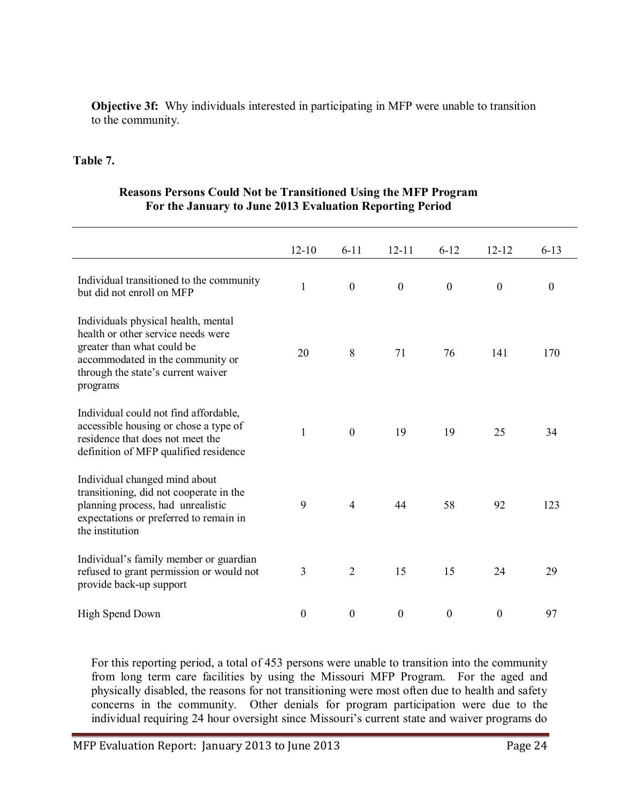**Objective 3f:** Why individuals interested in participating in MFP were unable to transition to the community.

#### **Table 7.**

#### **Reasons Persons Could Not be Transitioned Using the MFP Program For the January to June 2013 Evaluation Reporting Period**

|                                                                                                                                                                                               | $12 - 10$        | $6 - 11$         | $12 - 11$        | $6 - 12$         | $12 - 12$        | $6 - 13$         |  |
|-----------------------------------------------------------------------------------------------------------------------------------------------------------------------------------------------|------------------|------------------|------------------|------------------|------------------|------------------|--|
| Individual transitioned to the community<br>but did not enroll on MFP                                                                                                                         | $\mathbf{1}$     | $\boldsymbol{0}$ | $\boldsymbol{0}$ | $\boldsymbol{0}$ | $\boldsymbol{0}$ | $\boldsymbol{0}$ |  |
| Individuals physical health, mental<br>health or other service needs were<br>greater than what could be<br>accommodated in the community or<br>through the state's current waiver<br>programs | 20               | 8                | 71               | 76               | 141              | 170              |  |
| Individual could not find affordable,<br>accessible housing or chose a type of<br>residence that does not meet the<br>definition of MFP qualified residence                                   | 1                | $\theta$         | 19               | 19               | 25               | 34               |  |
| Individual changed mind about<br>transitioning, did not cooperate in the<br>planning process, had unrealistic<br>expectations or preferred to remain in<br>the institution                    | 9                | $\overline{4}$   | 44               | 58               | 92               | 123              |  |
| Individual's family member or guardian<br>refused to grant permission or would not<br>provide back-up support                                                                                 | $\mathfrak{Z}$   | $\overline{2}$   | 15               | 15               | 24               | 29               |  |
| High Spend Down                                                                                                                                                                               | $\boldsymbol{0}$ | $\boldsymbol{0}$ | $\boldsymbol{0}$ | $\boldsymbol{0}$ | $\boldsymbol{0}$ | 97               |  |

For this reporting period, a total of 453 persons were unable to transition into the community from long term care facilities by using the Missouri MFP Program. For the aged and physically disabled, the reasons for not transitioning were most often due to health and safety concerns in the community. Other denials for program participation were due to the individual requiring 24 hour oversight since Missouri's current state and waiver programs do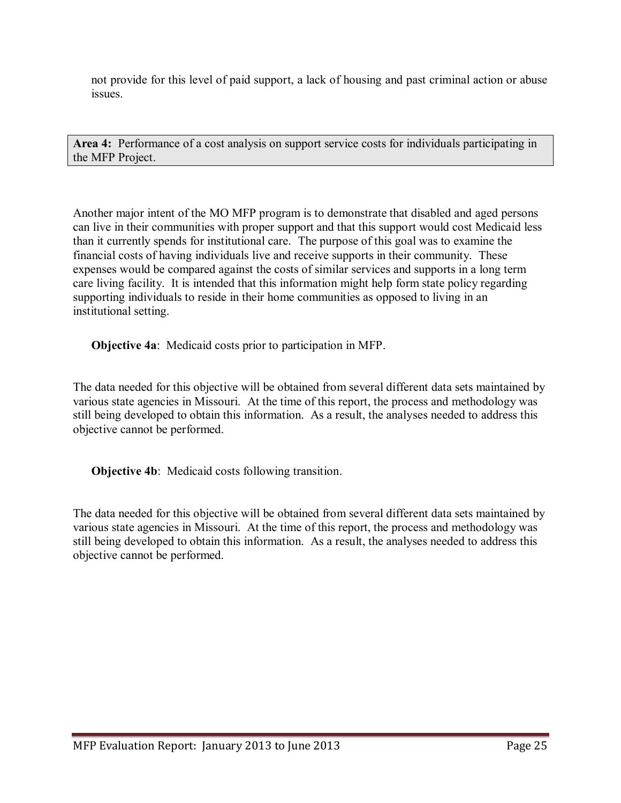not provide for this level of paid support, a lack of housing and past criminal action or abuse issues.

**Area 4:** Performance of a cost analysis on support service costs for individuals participating in the MFP Project.

Another major intent of the MO MFP program is to demonstrate that disabled and aged persons can live in their communities with proper support and that this support would cost Medicaid less than it currently spends for institutional care. The purpose of this goal was to examine the financial costs of having individuals live and receive supports in their community. These expenses would be compared against the costs of similar services and supports in a long term care living facility. It is intended that this information might help form state policy regarding supporting individuals to reside in their home communities as opposed to living in an institutional setting.

**Objective 4a**: Medicaid costs prior to participation in MFP.

The data needed for this objective will be obtained from several different data sets maintained by various state agencies in Missouri. At the time of this report, the process and methodology was still being developed to obtain this information. As a result, the analyses needed to address this objective cannot be performed.

**Objective 4b**: Medicaid costs following transition.

The data needed for this objective will be obtained from several different data sets maintained by various state agencies in Missouri. At the time of this report, the process and methodology was still being developed to obtain this information. As a result, the analyses needed to address this objective cannot be performed.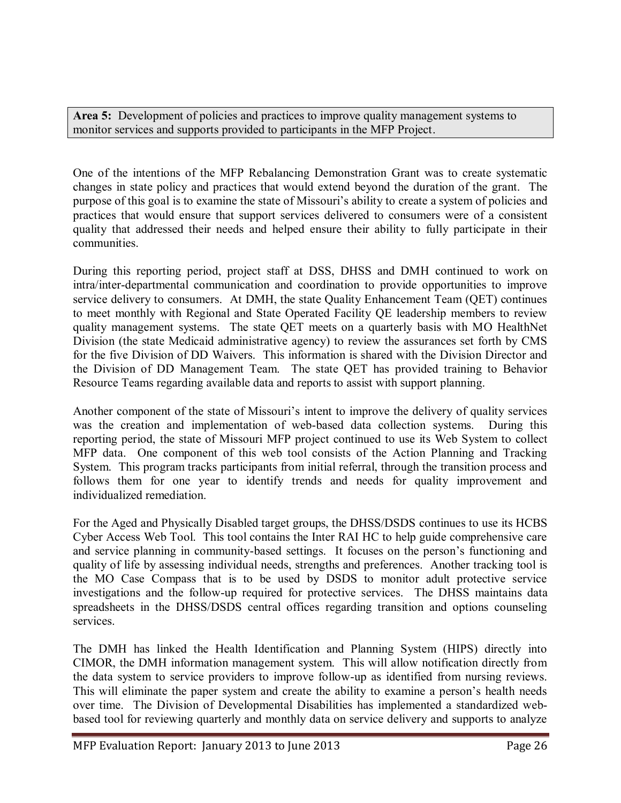Area 5: Development of policies and practices to improve quality management systems to monitor services and supports provided to participants in the MFP Project.

One of the intentions of the MFP Rebalancing Demonstration Grant was to create systematic changes in state policy and practices that would extend beyond the duration of the grant. The purpose of this goal is to examine the state of Missouri's ability to create a system of policies and practices that would ensure that support services delivered to consumers were of a consistent quality that addressed their needs and helped ensure their ability to fully participate in their communities.

During this reporting period, project staff at DSS, DHSS and DMH continued to work on intra/inter-departmental communication and coordination to provide opportunities to improve service delivery to consumers. At DMH, the state Quality Enhancement Team (QET) continues to meet monthly with Regional and State Operated Facility QE leadership members to review quality management systems. The state QET meets on a quarterly basis with MO HealthNet Division (the state Medicaid administrative agency) to review the assurances set forth by CMS for the five Division of DD Waivers. This information is shared with the Division Director and the Division of DD Management Team. The state QET has provided training to Behavior Resource Teams regarding available data and reports to assist with support planning.

Another component of the state of Missouri's intent to improve the delivery of quality services was the creation and implementation of web-based data collection systems. During this reporting period, the state of Missouri MFP project continued to use its Web System to collect MFP data. One component of this web tool consists of the Action Planning and Tracking System. This program tracks participants from initial referral, through the transition process and follows them for one year to identify trends and needs for quality improvement and individualized remediation.

For the Aged and Physically Disabled target groups, the DHSS/DSDS continues to use its HCBS Cyber Access Web Tool. This tool contains the Inter RAI HC to help guide comprehensive care and service planning in community-based settings. It focuses on the person's functioning and quality of life by assessing individual needs, strengths and preferences. Another tracking tool is the MO Case Compass that is to be used by DSDS to monitor adult protective service investigations and the follow-up required for protective services. The DHSS maintains data spreadsheets in the DHSS/DSDS central offices regarding transition and options counseling services.

The DMH has linked the Health Identification and Planning System (HIPS) directly into CIMOR, the DMH information management system. This will allow notification directly from the data system to service providers to improve follow-up as identified from nursing reviews. This will eliminate the paper system and create the ability to examine a person's health needs over time. The Division of Developmental Disabilities has implemented a standardized webbased tool for reviewing quarterly and monthly data on service delivery and supports to analyze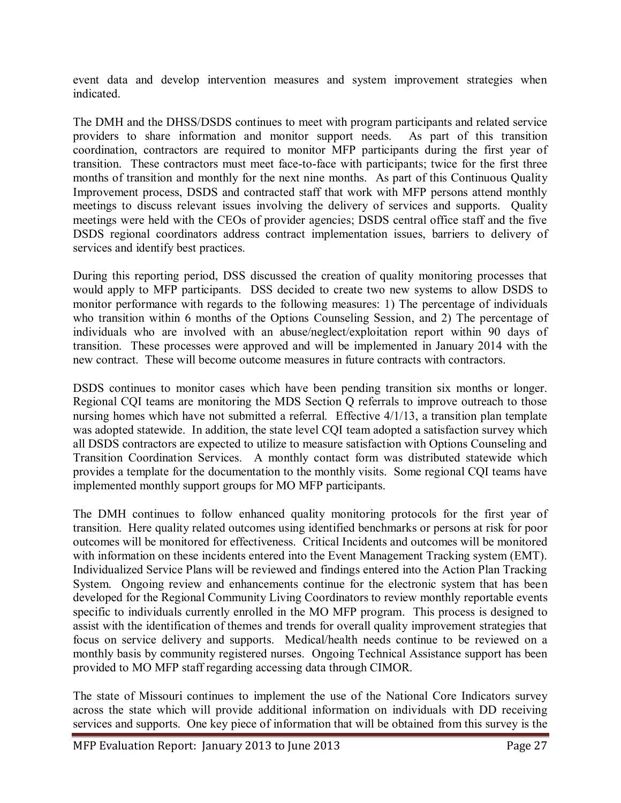event data and develop intervention measures and system improvement strategies when indicated.

The DMH and the DHSS/DSDS continues to meet with program participants and related service providers to share information and monitor support needs. As part of this transition coordination, contractors are required to monitor MFP participants during the first year of transition. These contractors must meet face-to-face with participants; twice for the first three months of transition and monthly for the next nine months. As part of this Continuous Quality Improvement process, DSDS and contracted staff that work with MFP persons attend monthly meetings to discuss relevant issues involving the delivery of services and supports. Quality meetings were held with the CEOs of provider agencies; DSDS central office staff and the five DSDS regional coordinators address contract implementation issues, barriers to delivery of services and identify best practices.

During this reporting period, DSS discussed the creation of quality monitoring processes that would apply to MFP participants. DSS decided to create two new systems to allow DSDS to monitor performance with regards to the following measures: 1) The percentage of individuals who transition within 6 months of the Options Counseling Session, and 2) The percentage of individuals who are involved with an abuse/neglect/exploitation report within 90 days of transition. These processes were approved and will be implemented in January 2014 with the new contract. These will become outcome measures in future contracts with contractors.

DSDS continues to monitor cases which have been pending transition six months or longer. Regional CQI teams are monitoring the MDS Section Q referrals to improve outreach to those nursing homes which have not submitted a referral. Effective 4/1/13, a transition plan template was adopted statewide. In addition, the state level CQI team adopted a satisfaction survey which all DSDS contractors are expected to utilize to measure satisfaction with Options Counseling and Transition Coordination Services. A monthly contact form was distributed statewide which provides a template for the documentation to the monthly visits. Some regional CQI teams have implemented monthly support groups for MO MFP participants.

The DMH continues to follow enhanced quality monitoring protocols for the first year of transition. Here quality related outcomes using identified benchmarks or persons at risk for poor outcomes will be monitored for effectiveness. Critical Incidents and outcomes will be monitored with information on these incidents entered into the Event Management Tracking system (EMT). Individualized Service Plans will be reviewed and findings entered into the Action Plan Tracking System. Ongoing review and enhancements continue for the electronic system that has been developed for the Regional Community Living Coordinators to review monthly reportable events specific to individuals currently enrolled in the MO MFP program. This process is designed to assist with the identification of themes and trends for overall quality improvement strategies that focus on service delivery and supports. Medical/health needs continue to be reviewed on a monthly basis by community registered nurses. Ongoing Technical Assistance support has been provided to MO MFP staff regarding accessing data through CIMOR.

The state of Missouri continues to implement the use of the National Core Indicators survey across the state which will provide additional information on individuals with DD receiving services and supports. One key piece of information that will be obtained from this survey is the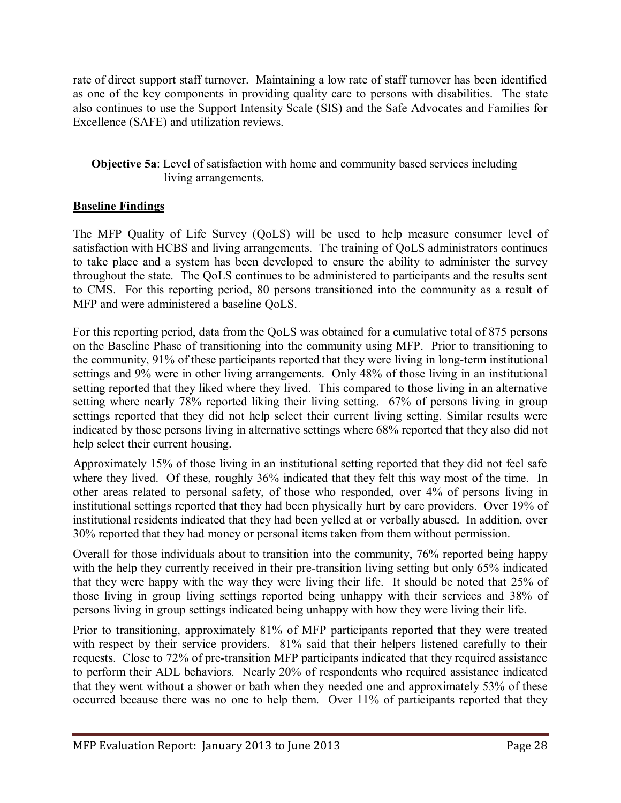rate of direct support staff turnover. Maintaining a low rate of staff turnover has been identified as one of the key components in providing quality care to persons with disabilities. The state also continues to use the Support Intensity Scale (SIS) and the Safe Advocates and Families for Excellence (SAFE) and utilization reviews.

#### **Objective 5a**: Level of satisfaction with home and community based services including living arrangements.

#### **Baseline Findings**

The MFP Quality of Life Survey (QoLS) will be used to help measure consumer level of satisfaction with HCBS and living arrangements. The training of QoLS administrators continues to take place and a system has been developed to ensure the ability to administer the survey throughout the state. The QoLS continues to be administered to participants and the results sent to CMS. For this reporting period, 80 persons transitioned into the community as a result of MFP and were administered a baseline QoLS.

For this reporting period, data from the QoLS was obtained for a cumulative total of 875 persons on the Baseline Phase of transitioning into the community using MFP. Prior to transitioning to the community, 91% of these participants reported that they were living in long-term institutional settings and 9% were in other living arrangements. Only 48% of those living in an institutional setting reported that they liked where they lived. This compared to those living in an alternative setting where nearly 78% reported liking their living setting. 67% of persons living in group settings reported that they did not help select their current living setting. Similar results were indicated by those persons living in alternative settings where 68% reported that they also did not help select their current housing.

Approximately 15% of those living in an institutional setting reported that they did not feel safe where they lived. Of these, roughly 36% indicated that they felt this way most of the time. In other areas related to personal safety, of those who responded, over 4% of persons living in institutional settings reported that they had been physically hurt by care providers. Over 19% of institutional residents indicated that they had been yelled at or verbally abused. In addition, over 30% reported that they had money or personal items taken from them without permission.

Overall for those individuals about to transition into the community, 76% reported being happy with the help they currently received in their pre-transition living setting but only 65% indicated that they were happy with the way they were living their life. It should be noted that 25% of those living in group living settings reported being unhappy with their services and 38% of persons living in group settings indicated being unhappy with how they were living their life.

Prior to transitioning, approximately 81% of MFP participants reported that they were treated with respect by their service providers. 81% said that their helpers listened carefully to their requests. Close to 72% of pre-transition MFP participants indicated that they required assistance to perform their ADL behaviors. Nearly 20% of respondents who required assistance indicated that they went without a shower or bath when they needed one and approximately 53% of these occurred because there was no one to help them. Over 11% of participants reported that they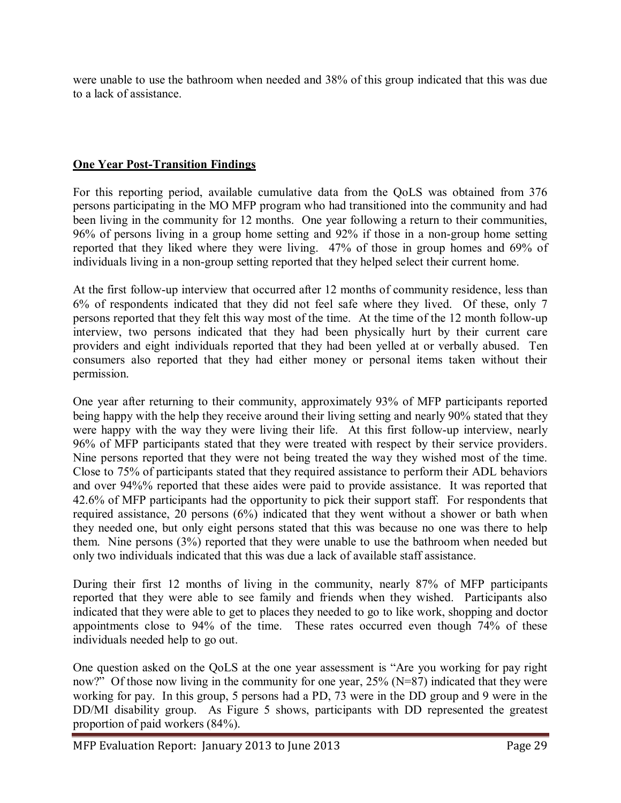were unable to use the bathroom when needed and 38% of this group indicated that this was due to a lack of assistance.

#### **One Year Post-Transition Findings**

For this reporting period, available cumulative data from the QoLS was obtained from 376 persons participating in the MO MFP program who had transitioned into the community and had been living in the community for 12 months. One year following a return to their communities, 96% of persons living in a group home setting and 92% if those in a non-group home setting reported that they liked where they were living. 47% of those in group homes and 69% of individuals living in a non-group setting reported that they helped select their current home.

At the first follow-up interview that occurred after 12 months of community residence, less than 6% of respondents indicated that they did not feel safe where they lived. Of these, only 7 persons reported that they felt this way most of the time. At the time of the 12 month follow-up interview, two persons indicated that they had been physically hurt by their current care providers and eight individuals reported that they had been yelled at or verbally abused. Ten consumers also reported that they had either money or personal items taken without their permission.

One year after returning to their community, approximately 93% of MFP participants reported being happy with the help they receive around their living setting and nearly 90% stated that they were happy with the way they were living their life. At this first follow-up interview, nearly 96% of MFP participants stated that they were treated with respect by their service providers. Nine persons reported that they were not being treated the way they wished most of the time. Close to 75% of participants stated that they required assistance to perform their ADL behaviors and over 94%% reported that these aides were paid to provide assistance. It was reported that 42.6% of MFP participants had the opportunity to pick their support staff. For respondents that required assistance, 20 persons (6%) indicated that they went without a shower or bath when they needed one, but only eight persons stated that this was because no one was there to help them. Nine persons (3%) reported that they were unable to use the bathroom when needed but only two individuals indicated that this was due a lack of available staff assistance.

During their first 12 months of living in the community, nearly 87% of MFP participants reported that they were able to see family and friends when they wished. Participants also indicated that they were able to get to places they needed to go to like work, shopping and doctor appointments close to 94% of the time. These rates occurred even though 74% of these individuals needed help to go out.

One question asked on the QoLS at the one year assessment is "Are you working for pay right now?" Of those now living in the community for one year, 25% (N=87) indicated that they were working for pay. In this group, 5 persons had a PD, 73 were in the DD group and 9 were in the DD/MI disability group. As Figure 5 shows, participants with DD represented the greatest proportion of paid workers (84%).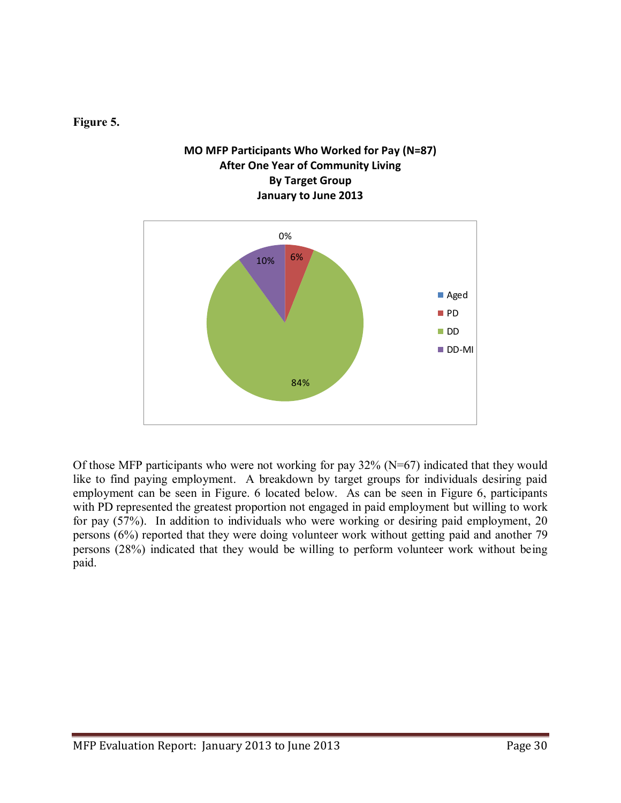#### **Figure 5.**

#### **MO MFP Participants Who Worked for Pay (N=87) After One Year of Community Living By Target Group January to June 2013**



Of those MFP participants who were not working for pay 32% (N=67) indicated that they would like to find paying employment. A breakdown by target groups for individuals desiring paid employment can be seen in Figure. 6 located below. As can be seen in Figure 6, participants with PD represented the greatest proportion not engaged in paid employment but willing to work for pay (57%). In addition to individuals who were working or desiring paid employment, 20 persons (6%) reported that they were doing volunteer work without getting paid and another 79 persons (28%) indicated that they would be willing to perform volunteer work without being paid.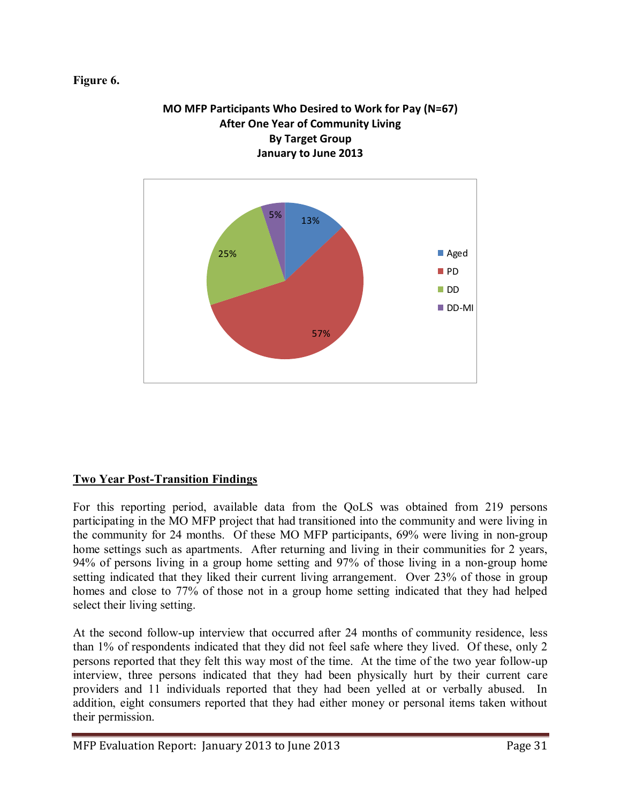#### **Figure 6.**



## **MO MFP Participants Who Desired to Work for Pay (N=67) After One Year of Community Living By Target Group**

#### **Two Year Post-Transition Findings**

For this reporting period, available data from the QoLS was obtained from 219 persons participating in the MO MFP project that had transitioned into the community and were living in the community for 24 months. Of these MO MFP participants, 69% were living in non-group home settings such as apartments. After returning and living in their communities for 2 years, 94% of persons living in a group home setting and 97% of those living in a non-group home setting indicated that they liked their current living arrangement. Over 23% of those in group homes and close to 77% of those not in a group home setting indicated that they had helped select their living setting.

At the second follow-up interview that occurred after 24 months of community residence, less than 1% of respondents indicated that they did not feel safe where they lived. Of these, only 2 persons reported that they felt this way most of the time. At the time of the two year follow-up interview, three persons indicated that they had been physically hurt by their current care providers and 11 individuals reported that they had been yelled at or verbally abused. In addition, eight consumers reported that they had either money or personal items taken without their permission.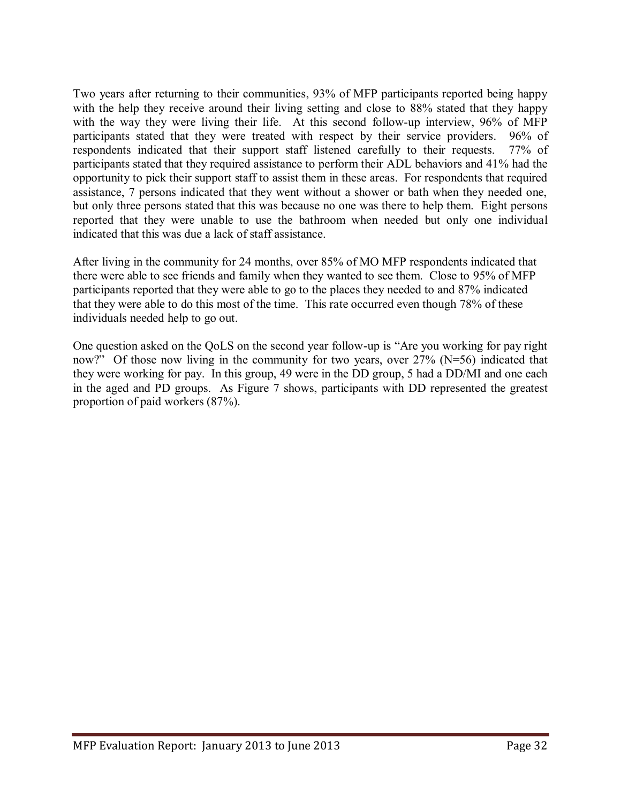Two years after returning to their communities, 93% of MFP participants reported being happy with the help they receive around their living setting and close to 88% stated that they happy with the way they were living their life. At this second follow-up interview, 96% of MFP participants stated that they were treated with respect by their service providers. 96% of respondents indicated that their support staff listened carefully to their requests. 77% of participants stated that they required assistance to perform their ADL behaviors and 41% had the opportunity to pick their support staff to assist them in these areas. For respondents that required assistance, 7 persons indicated that they went without a shower or bath when they needed one, but only three persons stated that this was because no one was there to help them. Eight persons reported that they were unable to use the bathroom when needed but only one individual indicated that this was due a lack of staff assistance.

After living in the community for 24 months, over 85% of MO MFP respondents indicated that there were able to see friends and family when they wanted to see them. Close to 95% of MFP participants reported that they were able to go to the places they needed to and 87% indicated that they were able to do this most of the time. This rate occurred even though 78% of these individuals needed help to go out.

One question asked on the QoLS on the second year follow-up is "Are you working for pay right now?" Of those now living in the community for two years, over 27% (N=56) indicated that they were working for pay. In this group, 49 were in the DD group, 5 had a DD/MI and one each in the aged and PD groups. As Figure 7 shows, participants with DD represented the greatest proportion of paid workers (87%).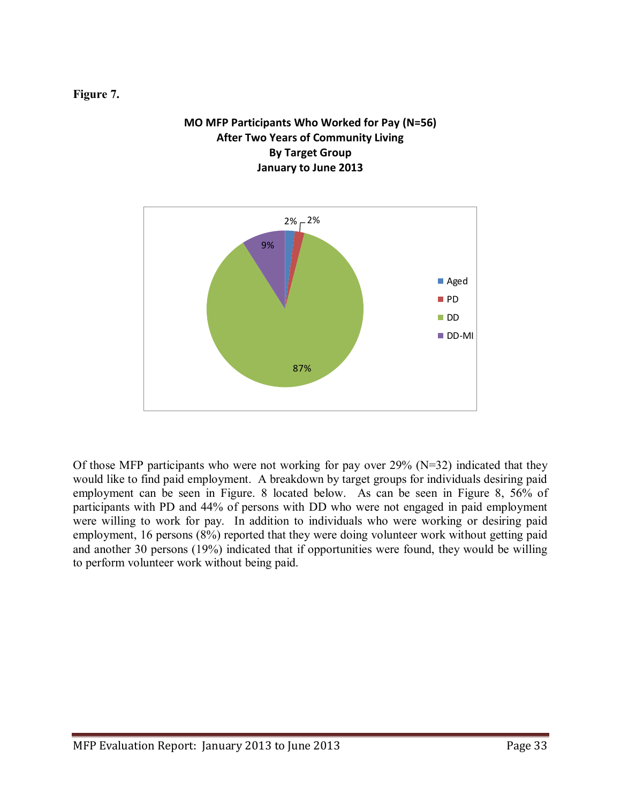**Figure 7.** 

#### **MO MFP Participants Who Worked for Pay (N=56) After Two Years of Community Living By Target Group January to June 2013**



Of those MFP participants who were not working for pay over  $29\%$  (N=32) indicated that they would like to find paid employment. A breakdown by target groups for individuals desiring paid employment can be seen in Figure. 8 located below. As can be seen in Figure 8, 56% of participants with PD and 44% of persons with DD who were not engaged in paid employment were willing to work for pay. In addition to individuals who were working or desiring paid employment, 16 persons (8%) reported that they were doing volunteer work without getting paid and another 30 persons (19%) indicated that if opportunities were found, they would be willing to perform volunteer work without being paid.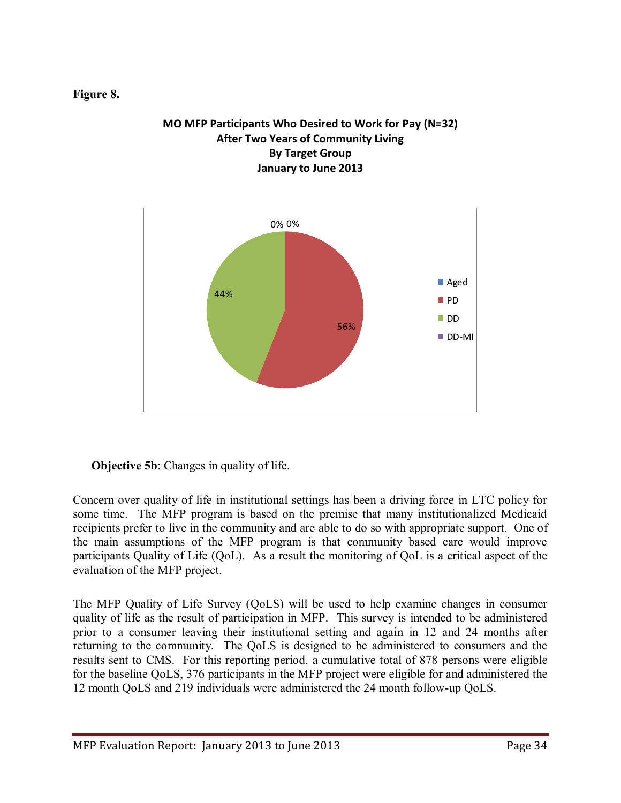#### **Figure 8.**

#### **MO MFP Participants Who Desired to Work for Pay (N=32) After Two Years of Community Living By Target Group January to June 2013**



#### **Objective 5b:** Changes in quality of life.

Concern over quality of life in institutional settings has been a driving force in LTC policy for some time. The MFP program is based on the premise that many institutionalized Medicaid recipients prefer to live in the community and are able to do so with appropriate support. One of the main assumptions of the MFP program is that community based care would improve participants Quality of Life (QoL). As a result the monitoring of QoL is a critical aspect of the evaluation of the MFP project.

The MFP Quality of Life Survey (QoLS) will be used to help examine changes in consumer quality of life as the result of participation in MFP. This survey is intended to be administered prior to a consumer leaving their institutional setting and again in 12 and 24 months after returning to the community. The QoLS is designed to be administered to consumers and the results sent to CMS. For this reporting period, a cumulative total of 878 persons were eligible for the baseline QoLS, 376 participants in the MFP project were eligible for and administered the 12 month QoLS and 219 individuals were administered the 24 month follow-up QoLS.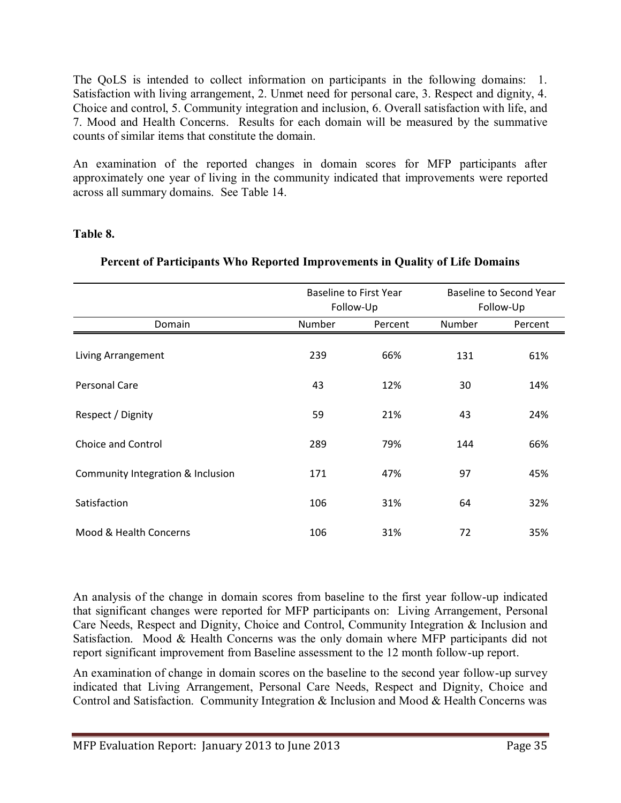The QoLS is intended to collect information on participants in the following domains: 1. Satisfaction with living arrangement, 2. Unmet need for personal care, 3. Respect and dignity, 4. Choice and control, 5. Community integration and inclusion, 6. Overall satisfaction with life, and 7. Mood and Health Concerns. Results for each domain will be measured by the summative counts of similar items that constitute the domain.

An examination of the reported changes in domain scores for MFP participants after approximately one year of living in the community indicated that improvements were reported across all summary domains. See Table 14.

#### **Table 8.**

|                                   |        | <b>Baseline to First Year</b> |        | <b>Baseline to Second Year</b> |  |  |
|-----------------------------------|--------|-------------------------------|--------|--------------------------------|--|--|
|                                   |        | Follow-Up                     |        | Follow-Up                      |  |  |
| Domain                            | Number | Percent                       | Number | Percent                        |  |  |
| Living Arrangement                | 239    | 66%                           | 131    | 61%                            |  |  |
| Personal Care                     | 43     | 12%                           | 30     | 14%                            |  |  |
| Respect / Dignity                 | 59     | 21%                           | 43     | 24%                            |  |  |
| Choice and Control                | 289    | 79%                           | 144    | 66%                            |  |  |
| Community Integration & Inclusion | 171    | 47%                           | 97     | 45%                            |  |  |
| Satisfaction                      | 106    | 31%                           | 64     | 32%                            |  |  |
| Mood & Health Concerns            | 106    | 31%                           | 72     | 35%                            |  |  |
|                                   |        |                               |        |                                |  |  |

#### **Percent of Participants Who Reported Improvements in Quality of Life Domains**

An analysis of the change in domain scores from baseline to the first year follow-up indicated that significant changes were reported for MFP participants on: Living Arrangement, Personal Care Needs, Respect and Dignity, Choice and Control, Community Integration & Inclusion and Satisfaction. Mood & Health Concerns was the only domain where MFP participants did not report significant improvement from Baseline assessment to the 12 month follow-up report.

An examination of change in domain scores on the baseline to the second year follow-up survey indicated that Living Arrangement, Personal Care Needs, Respect and Dignity, Choice and Control and Satisfaction. Community Integration & Inclusion and Mood & Health Concerns was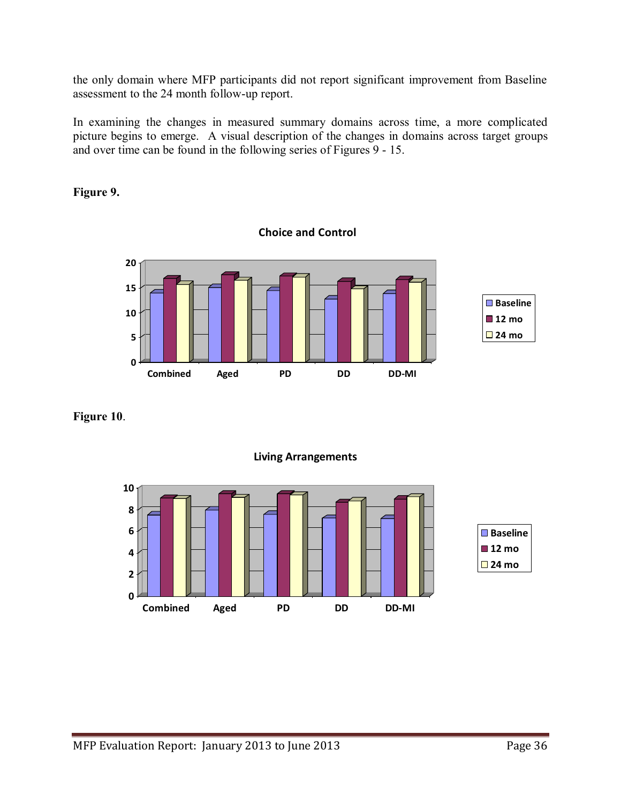the only domain where MFP participants did not report significant improvement from Baseline assessment to the 24 month follow-up report.

In examining the changes in measured summary domains across time, a more complicated picture begins to emerge. A visual description of the changes in domains across target groups and over time can be found in the following series of Figures 9 - 15.

**Choice and Control**

#### **Figure 9.**



**Figure 10**.



**Living Arrangements**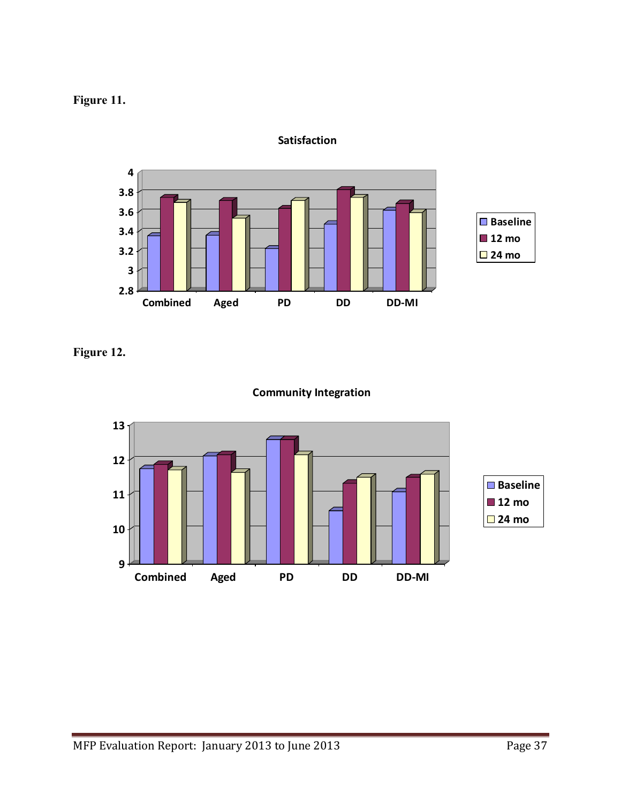



**Satisfaction**

**Figure 12.** 



#### **Community Integration**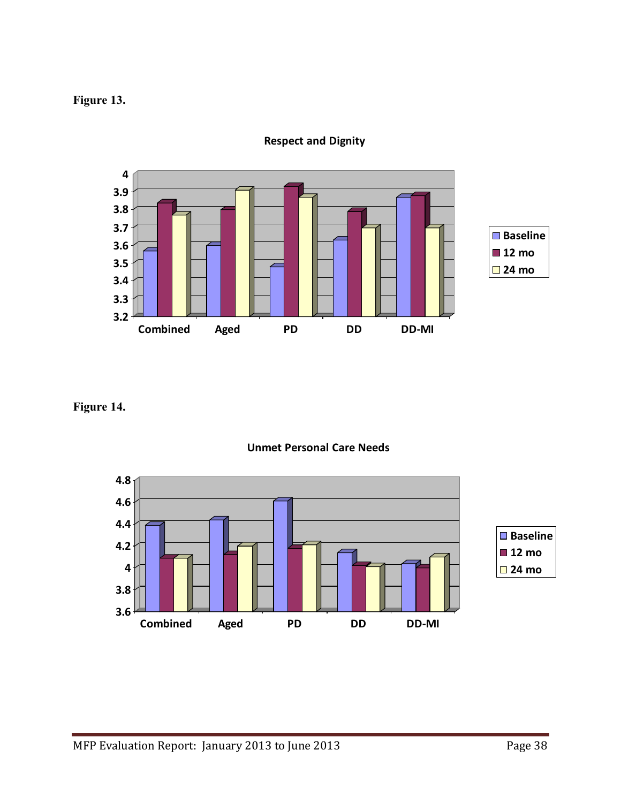## **Figure 13.**



**Respect and Dignity**

#### **Figure 14.**



**Unmet Personal Care Needs**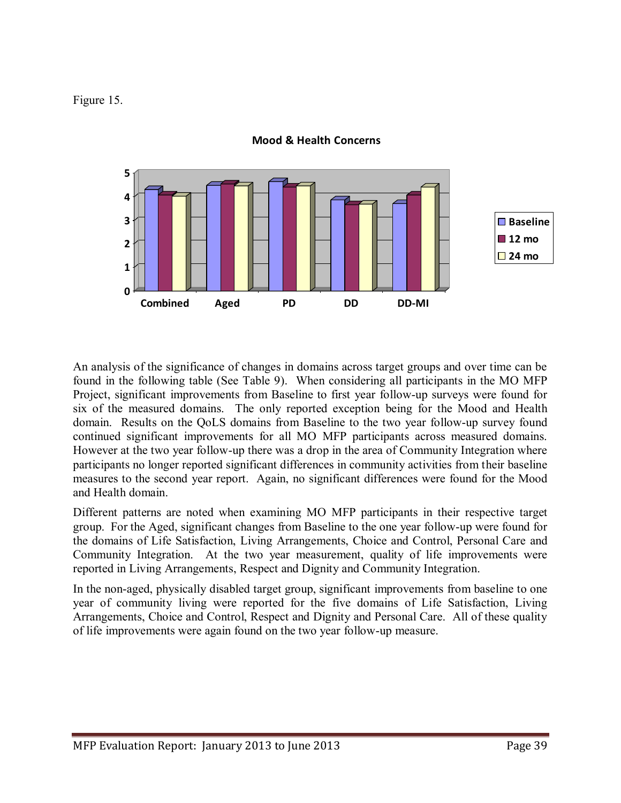Figure 15.



**Mood & Health Concerns**

An analysis of the significance of changes in domains across target groups and over time can be found in the following table (See Table 9). When considering all participants in the MO MFP Project, significant improvements from Baseline to first year follow-up surveys were found for six of the measured domains. The only reported exception being for the Mood and Health domain. Results on the QoLS domains from Baseline to the two year follow-up survey found continued significant improvements for all MO MFP participants across measured domains. However at the two year follow-up there was a drop in the area of Community Integration where participants no longer reported significant differences in community activities from their baseline measures to the second year report. Again, no significant differences were found for the Mood and Health domain.

Different patterns are noted when examining MO MFP participants in their respective target group. For the Aged, significant changes from Baseline to the one year follow-up were found for the domains of Life Satisfaction, Living Arrangements, Choice and Control, Personal Care and Community Integration. At the two year measurement, quality of life improvements were reported in Living Arrangements, Respect and Dignity and Community Integration.

In the non-aged, physically disabled target group, significant improvements from baseline to one year of community living were reported for the five domains of Life Satisfaction, Living Arrangements, Choice and Control, Respect and Dignity and Personal Care. All of these quality of life improvements were again found on the two year follow-up measure.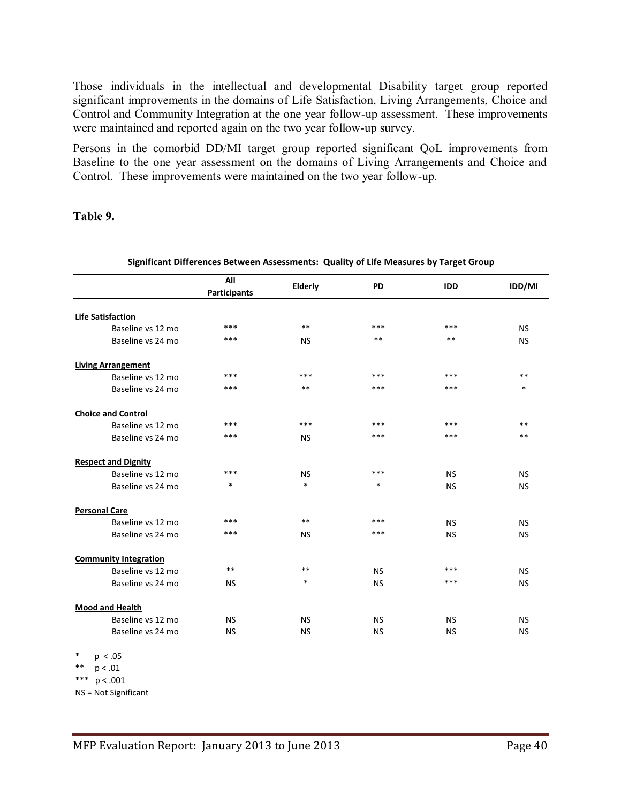Those individuals in the intellectual and developmental Disability target group reported significant improvements in the domains of Life Satisfaction, Living Arrangements, Choice and Control and Community Integration at the one year follow-up assessment. These improvements were maintained and reported again on the two year follow-up survey.

Persons in the comorbid DD/MI target group reported significant QoL improvements from Baseline to the one year assessment on the domains of Living Arrangements and Choice and Control. These improvements were maintained on the two year follow-up.

#### **Table 9.**

|                              | All<br><b>Participants</b> | Elderly   | <b>PD</b> | <b>IDD</b> | IDD/MI    |
|------------------------------|----------------------------|-----------|-----------|------------|-----------|
|                              |                            |           |           |            |           |
| <b>Life Satisfaction</b>     |                            |           |           |            |           |
| Baseline vs 12 mo            | ***                        | $***$     | ***       | ***        | <b>NS</b> |
| Baseline vs 24 mo            | ***                        | <b>NS</b> | $***$     | $**$       | <b>NS</b> |
| <b>Living Arrangement</b>    |                            |           |           |            |           |
| Baseline vs 12 mo            | ***                        | ***       | ***       | ***        | $**$      |
| Baseline vs 24 mo            | ***                        | $***$     | ***       | ***        | $\ast$    |
| <b>Choice and Control</b>    |                            |           |           |            |           |
| Baseline vs 12 mo            | ***                        | ***       | ***       | ***        | $***$     |
| Baseline vs 24 mo            | ***                        | <b>NS</b> | $***$     | ***        | **        |
| <b>Respect and Dignity</b>   |                            |           |           |            |           |
| Baseline vs 12 mo            | ***                        | <b>NS</b> | $***$     | <b>NS</b>  | <b>NS</b> |
| Baseline vs 24 mo            | $\ast$                     | $\ast$    | $\ast$    | <b>NS</b>  | <b>NS</b> |
| <b>Personal Care</b>         |                            |           |           |            |           |
| Baseline vs 12 mo            | ***                        | $***$     | ***       | <b>NS</b>  | <b>NS</b> |
| Baseline vs 24 mo            | ***                        | <b>NS</b> | ***       | <b>NS</b>  | <b>NS</b> |
| <b>Community Integration</b> |                            |           |           |            |           |
| Baseline vs 12 mo            | $***$                      | $***$     | <b>NS</b> | ***        | <b>NS</b> |
| Baseline vs 24 mo            | <b>NS</b>                  | *         | <b>NS</b> | ***        | <b>NS</b> |
| <b>Mood and Health</b>       |                            |           |           |            |           |
| Baseline vs 12 mo            | <b>NS</b>                  | <b>NS</b> | <b>NS</b> | <b>NS</b>  | <b>NS</b> |
| Baseline vs 24 mo            | <b>NS</b>                  | <b>NS</b> | <b>NS</b> | <b>NS</b>  | <b>NS</b> |

#### **Significant Differences Between Assessments: Quality of Life Measures by Target Group**

 $p < .05$  $p < .01$ 

- \*\*\*  $p < .001$
- NS = Not Significant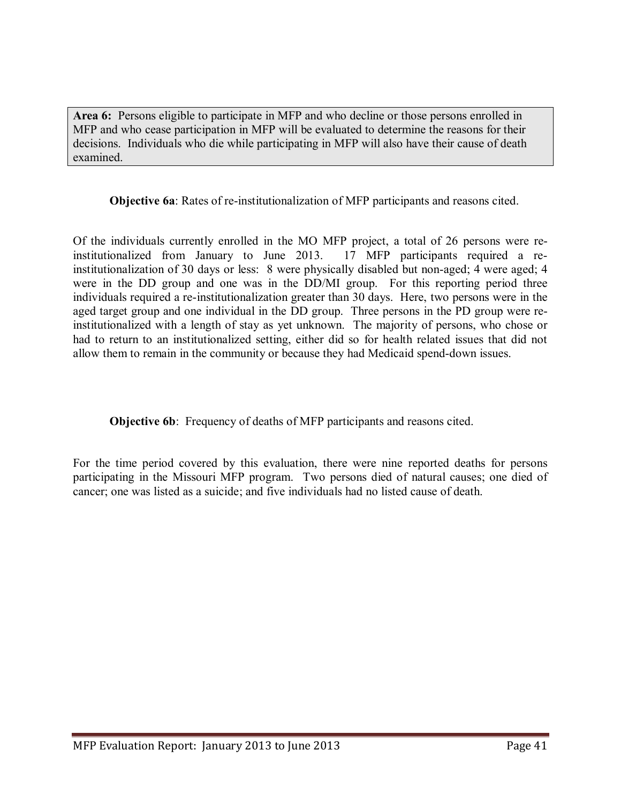**Area 6:** Persons eligible to participate in MFP and who decline or those persons enrolled in MFP and who cease participation in MFP will be evaluated to determine the reasons for their decisions. Individuals who die while participating in MFP will also have their cause of death examined.

**Objective 6a**: Rates of re-institutionalization of MFP participants and reasons cited.

Of the individuals currently enrolled in the MO MFP project, a total of 26 persons were reinstitutionalized from January to June 2013. 17 MFP participants required a reinstitutionalization of 30 days or less: 8 were physically disabled but non-aged; 4 were aged; 4 were in the DD group and one was in the DD/MI group. For this reporting period three individuals required a re-institutionalization greater than 30 days. Here, two persons were in the aged target group and one individual in the DD group. Three persons in the PD group were reinstitutionalized with a length of stay as yet unknown. The majority of persons, who chose or had to return to an institutionalized setting, either did so for health related issues that did not allow them to remain in the community or because they had Medicaid spend-down issues.

**Objective 6b**: Frequency of deaths of MFP participants and reasons cited.

For the time period covered by this evaluation, there were nine reported deaths for persons participating in the Missouri MFP program. Two persons died of natural causes; one died of cancer; one was listed as a suicide; and five individuals had no listed cause of death.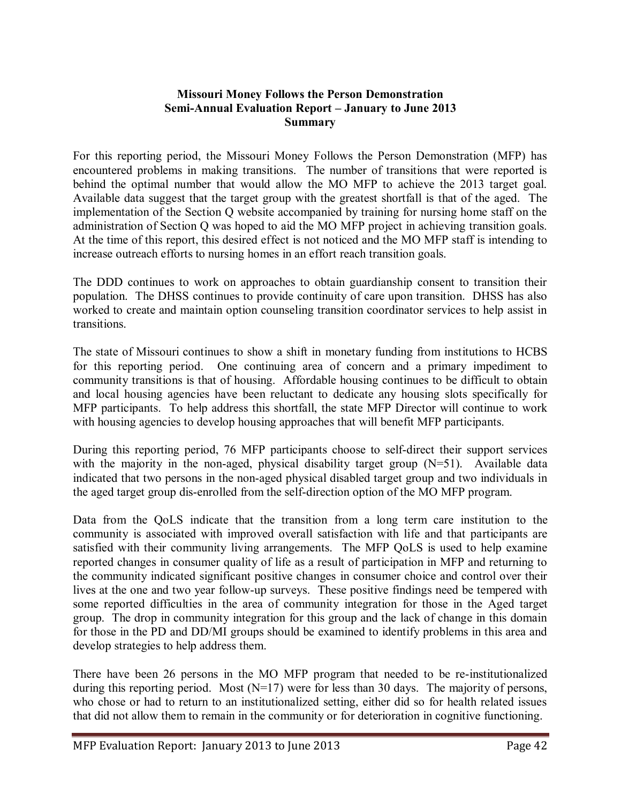#### **Missouri Money Follows the Person Demonstration Semi-Annual Evaluation Report – January to June 2013 Summary**

For this reporting period, the Missouri Money Follows the Person Demonstration (MFP) has encountered problems in making transitions. The number of transitions that were reported is behind the optimal number that would allow the MO MFP to achieve the 2013 target goal. Available data suggest that the target group with the greatest shortfall is that of the aged. The implementation of the Section Q website accompanied by training for nursing home staff on the administration of Section Q was hoped to aid the MO MFP project in achieving transition goals. At the time of this report, this desired effect is not noticed and the MO MFP staff is intending to increase outreach efforts to nursing homes in an effort reach transition goals.

The DDD continues to work on approaches to obtain guardianship consent to transition their population. The DHSS continues to provide continuity of care upon transition. DHSS has also worked to create and maintain option counseling transition coordinator services to help assist in transitions.

The state of Missouri continues to show a shift in monetary funding from institutions to HCBS for this reporting period. One continuing area of concern and a primary impediment to community transitions is that of housing. Affordable housing continues to be difficult to obtain and local housing agencies have been reluctant to dedicate any housing slots specifically for MFP participants. To help address this shortfall, the state MFP Director will continue to work with housing agencies to develop housing approaches that will benefit MFP participants.

During this reporting period, 76 MFP participants choose to self-direct their support services with the majority in the non-aged, physical disability target group (N=51). Available data indicated that two persons in the non-aged physical disabled target group and two individuals in the aged target group dis-enrolled from the self-direction option of the MO MFP program.

Data from the QoLS indicate that the transition from a long term care institution to the community is associated with improved overall satisfaction with life and that participants are satisfied with their community living arrangements. The MFP QoLS is used to help examine reported changes in consumer quality of life as a result of participation in MFP and returning to the community indicated significant positive changes in consumer choice and control over their lives at the one and two year follow-up surveys. These positive findings need be tempered with some reported difficulties in the area of community integration for those in the Aged target group. The drop in community integration for this group and the lack of change in this domain for those in the PD and DD/MI groups should be examined to identify problems in this area and develop strategies to help address them.

There have been 26 persons in the MO MFP program that needed to be re-institutionalized during this reporting period. Most  $(N=17)$  were for less than 30 days. The majority of persons, who chose or had to return to an institutionalized setting, either did so for health related issues that did not allow them to remain in the community or for deterioration in cognitive functioning.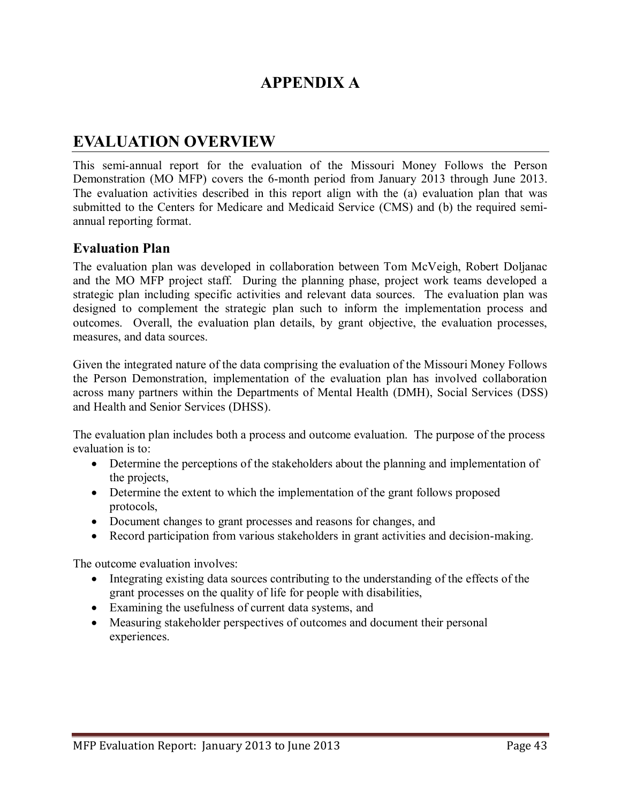## **APPENDIX A**

## **EVALUATION OVERVIEW**

This semi-annual report for the evaluation of the Missouri Money Follows the Person Demonstration (MO MFP) covers the 6-month period from January 2013 through June 2013. The evaluation activities described in this report align with the (a) evaluation plan that was submitted to the Centers for Medicare and Medicaid Service (CMS) and (b) the required semiannual reporting format.

#### **Evaluation Plan**

The evaluation plan was developed in collaboration between Tom McVeigh, Robert Doljanac and the MO MFP project staff. During the planning phase, project work teams developed a strategic plan including specific activities and relevant data sources. The evaluation plan was designed to complement the strategic plan such to inform the implementation process and outcomes. Overall, the evaluation plan details, by grant objective, the evaluation processes, measures, and data sources.

Given the integrated nature of the data comprising the evaluation of the Missouri Money Follows the Person Demonstration, implementation of the evaluation plan has involved collaboration across many partners within the Departments of Mental Health (DMH), Social Services (DSS) and Health and Senior Services (DHSS).

The evaluation plan includes both a process and outcome evaluation. The purpose of the process evaluation is to:

- Determine the perceptions of the stakeholders about the planning and implementation of the projects,
- Determine the extent to which the implementation of the grant follows proposed protocols,
- Document changes to grant processes and reasons for changes, and
- Record participation from various stakeholders in grant activities and decision-making.

The outcome evaluation involves:

- Integrating existing data sources contributing to the understanding of the effects of the grant processes on the quality of life for people with disabilities,
- Examining the usefulness of current data systems, and
- Measuring stakeholder perspectives of outcomes and document their personal experiences.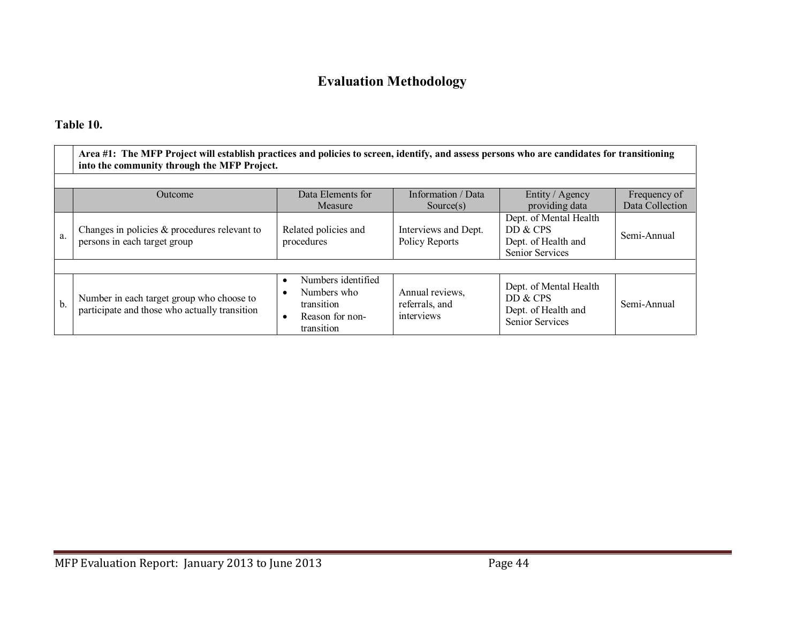## **Evaluation Methodology**

## **Table 10.**

|     | Area #1: The MFP Project will establish practices and policies to screen, identify, and assess persons who are candidates for transitioning<br>into the community through the MFP Project. |                                                                                  |                                                 |                                                                                     |             |  |  |  |  |
|-----|--------------------------------------------------------------------------------------------------------------------------------------------------------------------------------------------|----------------------------------------------------------------------------------|-------------------------------------------------|-------------------------------------------------------------------------------------|-------------|--|--|--|--|
|     | Data Elements for<br>Information / Data<br>Entity / Agency<br>Outcome<br>Frequency of<br>Data Collection<br>providing data<br>Measure<br>Source(s)                                         |                                                                                  |                                                 |                                                                                     |             |  |  |  |  |
| a.  | Changes in policies $\&$ procedures relevant to<br>persons in each target group                                                                                                            | Related policies and<br>procedures                                               | Interviews and Dept.<br>Policy Reports          | Dept. of Mental Health<br>DD & CPS<br>Dept. of Health and<br><b>Senior Services</b> | Semi-Annual |  |  |  |  |
|     |                                                                                                                                                                                            |                                                                                  |                                                 |                                                                                     |             |  |  |  |  |
| $b$ | Number in each target group who choose to<br>participate and those who actually transition                                                                                                 | Numbers identified<br>Numbers who<br>transition<br>Reason for non-<br>transition | Annual reviews,<br>referrals, and<br>interviews | Dept. of Mental Health<br>DD & CPS<br>Dept. of Health and<br><b>Senior Services</b> | Semi-Annual |  |  |  |  |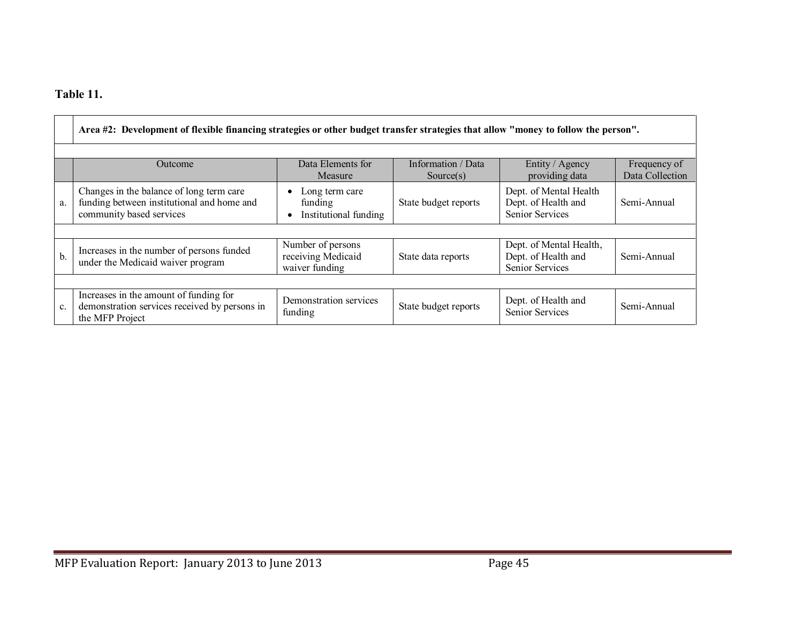## **Table 11.**

|                | Area #2: Development of flexible financing strategies or other budget transfer strategies that allow "money to follow the person". |                                                           |                                 |                                                                          |                                 |  |  |
|----------------|------------------------------------------------------------------------------------------------------------------------------------|-----------------------------------------------------------|---------------------------------|--------------------------------------------------------------------------|---------------------------------|--|--|
|                |                                                                                                                                    |                                                           |                                 |                                                                          |                                 |  |  |
|                | Outcome                                                                                                                            | Data Elements for<br>Measure                              | Information / Data<br>Source(s) | Entity / Agency<br>providing data                                        | Frequency of<br>Data Collection |  |  |
| a.             | Changes in the balance of long term care<br>funding between institutional and home and<br>community based services                 | Long term care<br>funding<br>Institutional funding        | State budget reports            | Dept. of Mental Health<br>Dept. of Health and<br><b>Senior Services</b>  | Semi-Annual                     |  |  |
|                |                                                                                                                                    |                                                           |                                 |                                                                          |                                 |  |  |
| $b$            | Increases in the number of persons funded<br>under the Medicaid waiver program                                                     | Number of persons<br>receiving Medicaid<br>waiver funding | State data reports              | Dept. of Mental Health,<br>Dept. of Health and<br><b>Senior Services</b> | Semi-Annual                     |  |  |
|                |                                                                                                                                    |                                                           |                                 |                                                                          |                                 |  |  |
| $\mathbf{c}$ . | Increases in the amount of funding for<br>demonstration services received by persons in<br>the MFP Project                         | Demonstration services<br>funding                         | State budget reports            | Dept. of Health and<br><b>Senior Services</b>                            | Semi-Annual                     |  |  |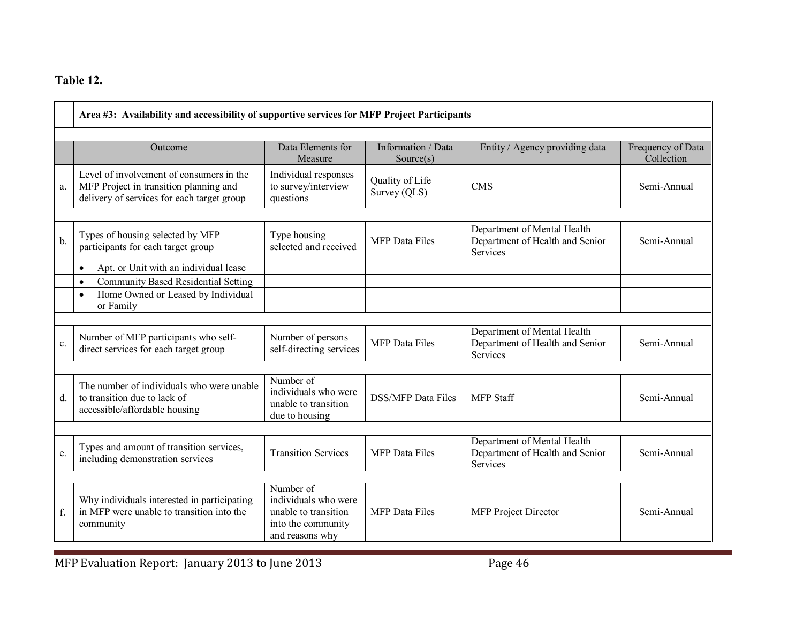## **Table 12.**

|               | Area #3: Availability and accessibility of supportive services for MFP Project Participants                                      |                                                                                                    |                                 |                                                                            |                                 |  |
|---------------|----------------------------------------------------------------------------------------------------------------------------------|----------------------------------------------------------------------------------------------------|---------------------------------|----------------------------------------------------------------------------|---------------------------------|--|
|               | Outcome                                                                                                                          | Data Elements for<br>Measure                                                                       | Information / Data<br>Source(s) | Entity / Agency providing data                                             | Frequency of Data<br>Collection |  |
| a.            | Level of involvement of consumers in the<br>MFP Project in transition planning and<br>delivery of services for each target group | Individual responses<br>to survey/interview<br>questions                                           | Quality of Life<br>Survey (QLS) | <b>CMS</b>                                                                 | Semi-Annual                     |  |
| $\mathbf b$ . | Types of housing selected by MFP<br>participants for each target group                                                           | Type housing<br>selected and received                                                              | <b>MFP</b> Data Files           | Department of Mental Health<br>Department of Health and Senior<br>Services | Semi-Annual                     |  |
|               | Apt. or Unit with an individual lease<br>$\bullet$<br><b>Community Based Residential Setting</b><br>$\bullet$                    |                                                                                                    |                                 |                                                                            |                                 |  |
|               | Home Owned or Leased by Individual<br>$\bullet$<br>or Family                                                                     |                                                                                                    |                                 |                                                                            |                                 |  |
| c.            | Number of MFP participants who self-<br>direct services for each target group                                                    | Number of persons<br>self-directing services                                                       | <b>MFP</b> Data Files           | Department of Mental Health<br>Department of Health and Senior<br>Services | Semi-Annual                     |  |
| d.            | The number of individuals who were unable<br>to transition due to lack of<br>accessible/affordable housing                       | Number of<br>individuals who were<br>unable to transition<br>due to housing                        | <b>DSS/MFP</b> Data Files       | <b>MFP</b> Staff                                                           | Semi-Annual                     |  |
| e.            | Types and amount of transition services,<br>including demonstration services                                                     | <b>Transition Services</b>                                                                         | <b>MFP</b> Data Files           | Department of Mental Health<br>Department of Health and Senior<br>Services | Semi-Annual                     |  |
| f.            | Why individuals interested in participating<br>in MFP were unable to transition into the<br>community                            | Number of<br>individuals who were<br>unable to transition<br>into the community<br>and reasons why | <b>MFP</b> Data Files           | MFP Project Director                                                       | Semi-Annual                     |  |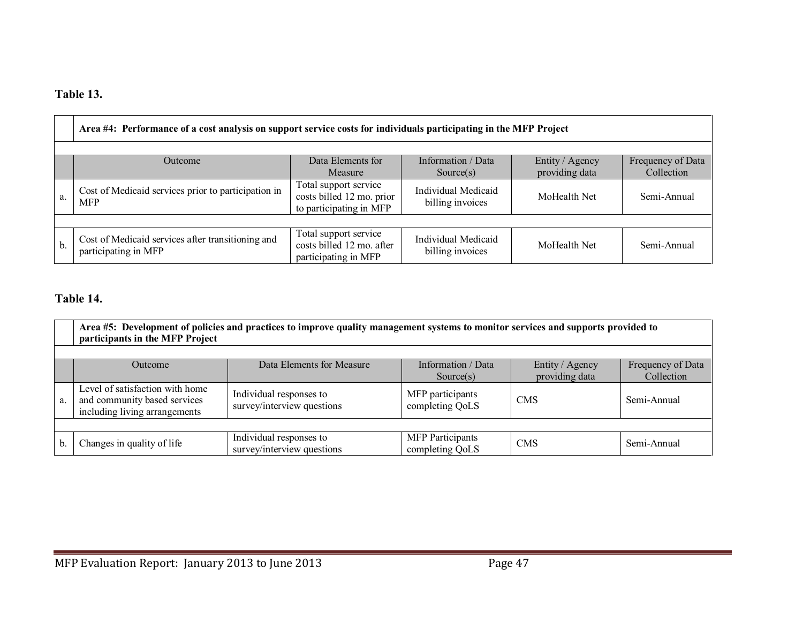## **Table 13.**

|    | Area #4: Performance of a cost analysis on support service costs for individuals participating in the MFP Project                                  |                                                                               |                                         |              |             |  |  |  |
|----|----------------------------------------------------------------------------------------------------------------------------------------------------|-------------------------------------------------------------------------------|-----------------------------------------|--------------|-------------|--|--|--|
|    | Data Elements for<br>Information / Data<br>Entity / Agency<br>Frequency of Data<br>Outcome<br>providing data<br>Collection<br>Measure<br>Source(s) |                                                                               |                                         |              |             |  |  |  |
| a. | Cost of Medicaid services prior to participation in<br><b>MFP</b>                                                                                  | Total support service<br>costs billed 12 mo. prior<br>to participating in MFP | Individual Medicaid<br>billing invoices | MoHealth Net | Semi-Annual |  |  |  |
|    |                                                                                                                                                    |                                                                               |                                         |              |             |  |  |  |
| b. | Cost of Medicaid services after transitioning and<br>participating in MFP                                                                          | Total support service<br>costs billed 12 mo. after<br>participating in MFP    | Individual Medicaid<br>billing invoices | MoHealth Net | Semi-Annual |  |  |  |

## **Table 14.**

|    | Area #5: Development of policies and practices to improve quality management systems to monitor services and supports provided to<br>participants in the MFP Project |                                                       |                                            |            |             |  |  |
|----|----------------------------------------------------------------------------------------------------------------------------------------------------------------------|-------------------------------------------------------|--------------------------------------------|------------|-------------|--|--|
|    | Data Elements for Measure<br>Information / Data<br>Frequency of Data<br>Entity / Agency<br><b>Outcome</b><br>providing data<br>Collection<br>Source $(s)$            |                                                       |                                            |            |             |  |  |
| a. | Level of satisfaction with home<br>and community based services<br>including living arrangements                                                                     | Individual responses to<br>survey/interview questions | MFP participants<br>completing QoLS        | <b>CMS</b> | Semi-Annual |  |  |
|    |                                                                                                                                                                      |                                                       |                                            |            |             |  |  |
| b. | Changes in quality of life                                                                                                                                           | Individual responses to<br>survey/interview questions | <b>MFP</b> Participants<br>completing QoLS | <b>CMS</b> | Semi-Annual |  |  |